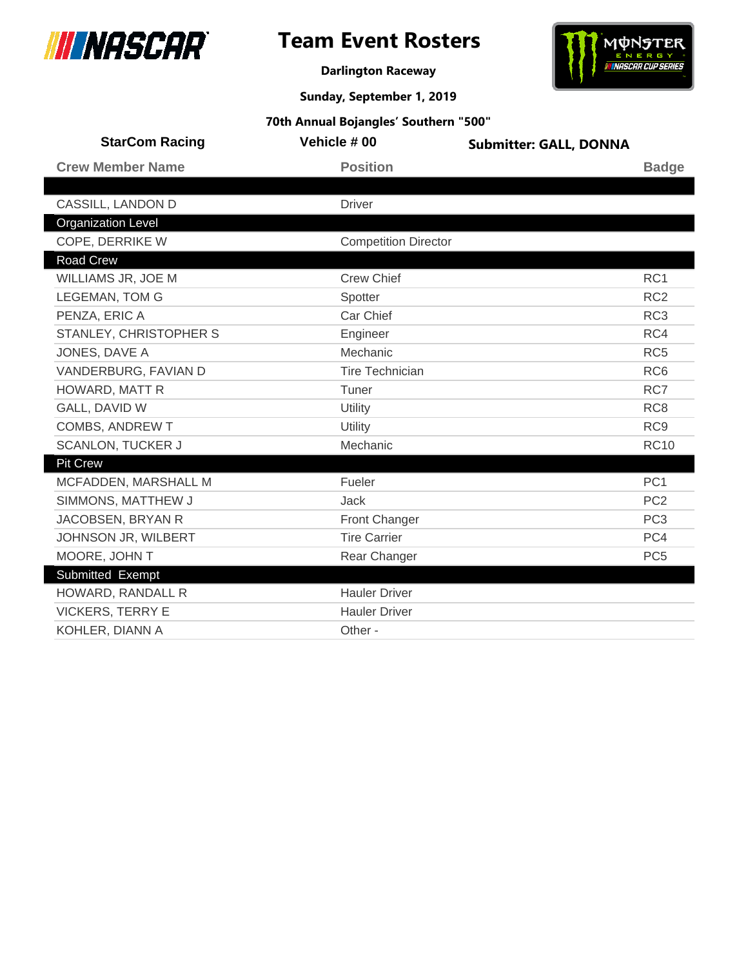



**Darlington Raceway**

**Sunday, September 1, 2019**

| <b>StarCom Racing</b>     | Vehicle # 00                | <b>Submitter: GALL, DONNA</b> |                 |
|---------------------------|-----------------------------|-------------------------------|-----------------|
| <b>Crew Member Name</b>   | <b>Position</b>             |                               | <b>Badge</b>    |
|                           |                             |                               |                 |
| CASSILL, LANDON D         | <b>Driver</b>               |                               |                 |
| <b>Organization Level</b> |                             |                               |                 |
| COPE, DERRIKE W           | <b>Competition Director</b> |                               |                 |
| Road Crew                 |                             |                               |                 |
| WILLIAMS JR, JOE M        | <b>Crew Chief</b>           |                               | RC1             |
| <b>LEGEMAN, TOM G</b>     | Spotter                     |                               | RC <sub>2</sub> |
| PENZA, ERIC A             | Car Chief                   |                               | RC <sub>3</sub> |
| STANLEY, CHRISTOPHER S    | Engineer                    |                               | RC4             |
| JONES, DAVE A             | Mechanic                    |                               | RC <sub>5</sub> |
| VANDERBURG, FAVIAN D      | <b>Tire Technician</b>      |                               | RC <sub>6</sub> |
| HOWARD, MATT R            | Tuner                       |                               | RC7             |
| GALL, DAVID W             | Utility                     |                               | RC <sub>8</sub> |
| COMBS, ANDREW T           | Utility                     |                               | RC <sub>9</sub> |
| <b>SCANLON, TUCKER J</b>  | Mechanic                    |                               | <b>RC10</b>     |
| <b>Pit Crew</b>           |                             |                               |                 |
| MCFADDEN, MARSHALL M      | Fueler                      |                               | PC <sub>1</sub> |
| SIMMONS, MATTHEW J        | <b>Jack</b>                 |                               | PC <sub>2</sub> |
| JACOBSEN, BRYAN R         | <b>Front Changer</b>        |                               | PC <sub>3</sub> |
| JOHNSON JR, WILBERT       | <b>Tire Carrier</b>         |                               | PC4             |
| MOORE, JOHN T             | Rear Changer                |                               | PC <sub>5</sub> |
| Submitted Exempt          |                             |                               |                 |
| HOWARD, RANDALL R         | <b>Hauler Driver</b>        |                               |                 |
| <b>VICKERS, TERRY E</b>   | <b>Hauler Driver</b>        |                               |                 |
| KOHLER, DIANN A           | Other -                     |                               |                 |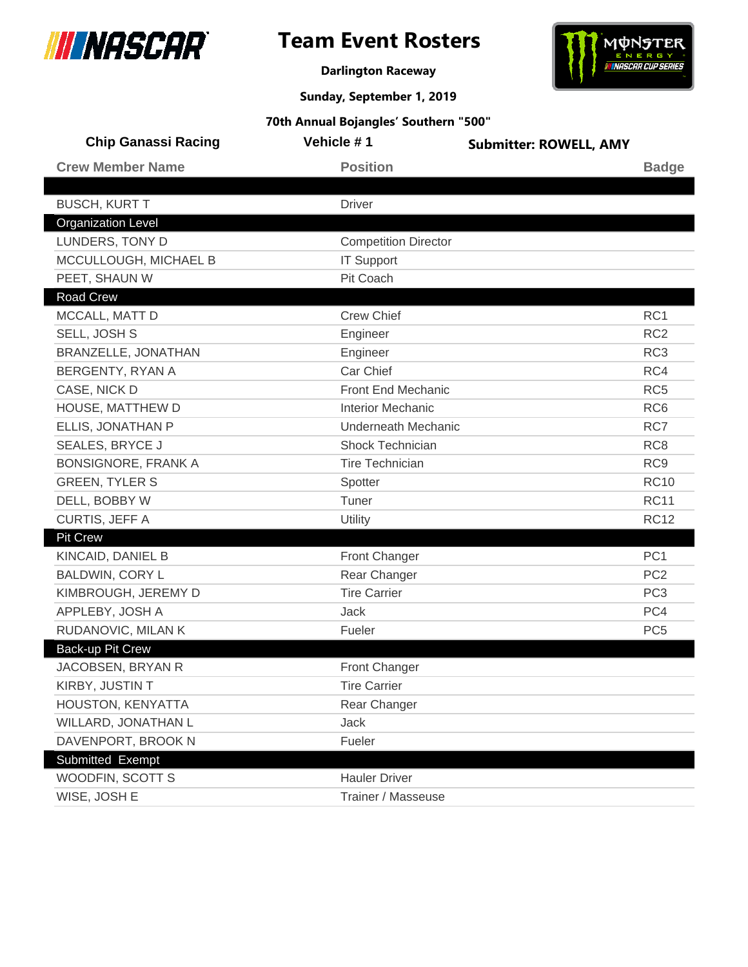



**Darlington Raceway**

**Sunday, September 1, 2019**

| <b>Chip Ganassi Racing</b> | Vehicle #1                  | <b>Submitter: ROWELL, AMY</b> |                 |
|----------------------------|-----------------------------|-------------------------------|-----------------|
| <b>Crew Member Name</b>    | <b>Position</b>             |                               | <b>Badge</b>    |
|                            |                             |                               |                 |
| <b>BUSCH, KURT T</b>       | <b>Driver</b>               |                               |                 |
| <b>Organization Level</b>  |                             |                               |                 |
| LUNDERS, TONY D            | <b>Competition Director</b> |                               |                 |
| MCCULLOUGH, MICHAEL B      | <b>IT Support</b>           |                               |                 |
| PEET, SHAUN W              | Pit Coach                   |                               |                 |
| <b>Road Crew</b>           |                             |                               |                 |
| MCCALL, MATT D             | <b>Crew Chief</b>           |                               | RC <sub>1</sub> |
| SELL, JOSH S               | Engineer                    |                               | RC <sub>2</sub> |
| BRANZELLE, JONATHAN        | Engineer                    |                               | RC <sub>3</sub> |
| BERGENTY, RYAN A           | Car Chief                   |                               | RC4             |
| CASE, NICK D               | <b>Front End Mechanic</b>   |                               | RC <sub>5</sub> |
| HOUSE, MATTHEW D           | <b>Interior Mechanic</b>    |                               | RC <sub>6</sub> |
| ELLIS, JONATHAN P          | Underneath Mechanic         |                               | RC7             |
| <b>SEALES, BRYCE J</b>     | Shock Technician            |                               | RC <sub>8</sub> |
| <b>BONSIGNORE, FRANK A</b> | <b>Tire Technician</b>      |                               | RC <sub>9</sub> |
| <b>GREEN, TYLER S</b>      | Spotter                     |                               | <b>RC10</b>     |
| DELL, BOBBY W              | Tuner                       |                               | <b>RC11</b>     |
| CURTIS, JEFF A             | Utility                     |                               | <b>RC12</b>     |
| Pit Crew                   |                             |                               |                 |
| KINCAID, DANIEL B          | Front Changer               |                               | PC <sub>1</sub> |
| <b>BALDWIN, CORY L</b>     | Rear Changer                |                               | PC <sub>2</sub> |
| KIMBROUGH, JEREMY D        | <b>Tire Carrier</b>         |                               | PC <sub>3</sub> |
| APPLEBY, JOSH A            | Jack                        |                               | PC4             |
| RUDANOVIC, MILAN K         | Fueler                      |                               | PC <sub>5</sub> |
| Back-up Pit Crew           |                             |                               |                 |
| JACOBSEN, BRYAN R          | <b>Front Changer</b>        |                               |                 |
| KIRBY, JUSTIN T            | <b>Tire Carrier</b>         |                               |                 |
| HOUSTON, KENYATTA          | Rear Changer                |                               |                 |
| WILLARD, JONATHAN L        | Jack                        |                               |                 |
| DAVENPORT, BROOK N         | Fueler                      |                               |                 |
| Submitted Exempt           |                             |                               |                 |
| WOODFIN, SCOTT S           | <b>Hauler Driver</b>        |                               |                 |
| WISE, JOSH E               | Trainer / Masseuse          |                               |                 |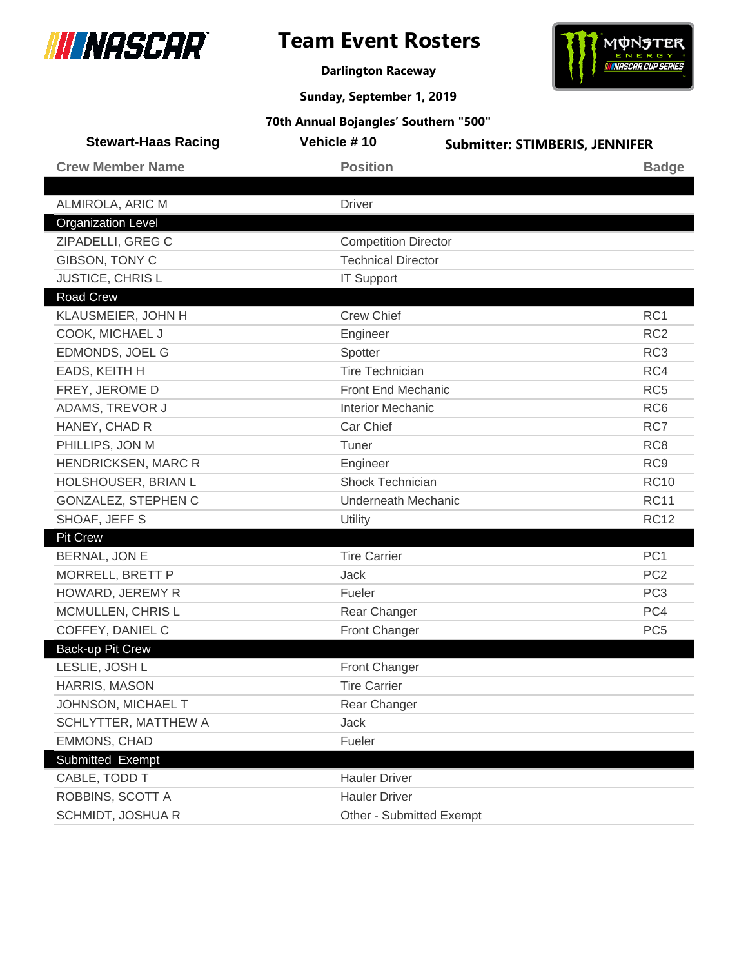



**Darlington Raceway**

**Sunday, September 1, 2019**

| <b>Stewart-Haas Racing</b> | Vehicle #10                 | <b>Submitter: STIMBERIS, JENNIFER</b> |                 |
|----------------------------|-----------------------------|---------------------------------------|-----------------|
| <b>Crew Member Name</b>    | <b>Position</b>             |                                       | <b>Badge</b>    |
|                            |                             |                                       |                 |
| ALMIROLA, ARIC M           | <b>Driver</b>               |                                       |                 |
| <b>Organization Level</b>  |                             |                                       |                 |
| ZIPADELLI, GREG C          | <b>Competition Director</b> |                                       |                 |
| GIBSON, TONY C             | <b>Technical Director</b>   |                                       |                 |
| <b>JUSTICE, CHRISL</b>     | <b>IT Support</b>           |                                       |                 |
| Road Crew                  |                             |                                       |                 |
| KLAUSMEIER, JOHN H         | <b>Crew Chief</b>           |                                       | RC1             |
| COOK, MICHAEL J            | Engineer                    |                                       | RC <sub>2</sub> |
| EDMONDS, JOEL G            | Spotter                     |                                       | RC <sub>3</sub> |
| EADS, KEITH H              | <b>Tire Technician</b>      |                                       | RC4             |
| FREY, JEROME D             | Front End Mechanic          |                                       | RC <sub>5</sub> |
| ADAMS, TREVOR J            | <b>Interior Mechanic</b>    |                                       | RC <sub>6</sub> |
| HANEY, CHAD R              | Car Chief                   |                                       | RC7             |
| PHILLIPS, JON M            | Tuner                       |                                       | RC <sub>8</sub> |
| HENDRICKSEN, MARC R        | Engineer                    |                                       | RC <sub>9</sub> |
| HOLSHOUSER, BRIAN L        | <b>Shock Technician</b>     |                                       | <b>RC10</b>     |
| GONZALEZ, STEPHEN C        | <b>Underneath Mechanic</b>  |                                       | <b>RC11</b>     |
| SHOAF, JEFF S              | Utility                     |                                       | <b>RC12</b>     |
| <b>Pit Crew</b>            |                             |                                       |                 |
| BERNAL, JON E              | <b>Tire Carrier</b>         |                                       | PC <sub>1</sub> |
| MORRELL, BRETT P           | Jack                        |                                       | PC <sub>2</sub> |
| HOWARD, JEREMY R           | Fueler                      |                                       | PC <sub>3</sub> |
| MCMULLEN, CHRIS L          | Rear Changer                |                                       | PC4             |
| COFFEY, DANIEL C           | Front Changer               |                                       | PC <sub>5</sub> |
| <b>Back-up Pit Crew</b>    |                             |                                       |                 |
| LESLIE, JOSH L             | <b>Front Changer</b>        |                                       |                 |
| HARRIS, MASON              | <b>Tire Carrier</b>         |                                       |                 |
| JOHNSON, MICHAEL T         | Rear Changer                |                                       |                 |
| SCHLYTTER, MATTHEW A       | Jack                        |                                       |                 |
| <b>EMMONS, CHAD</b>        | Fueler                      |                                       |                 |
| Submitted Exempt           |                             |                                       |                 |
| CABLE, TODD T              | <b>Hauler Driver</b>        |                                       |                 |
| ROBBINS, SCOTT A           | <b>Hauler Driver</b>        |                                       |                 |
| SCHMIDT, JOSHUA R          | Other - Submitted Exempt    |                                       |                 |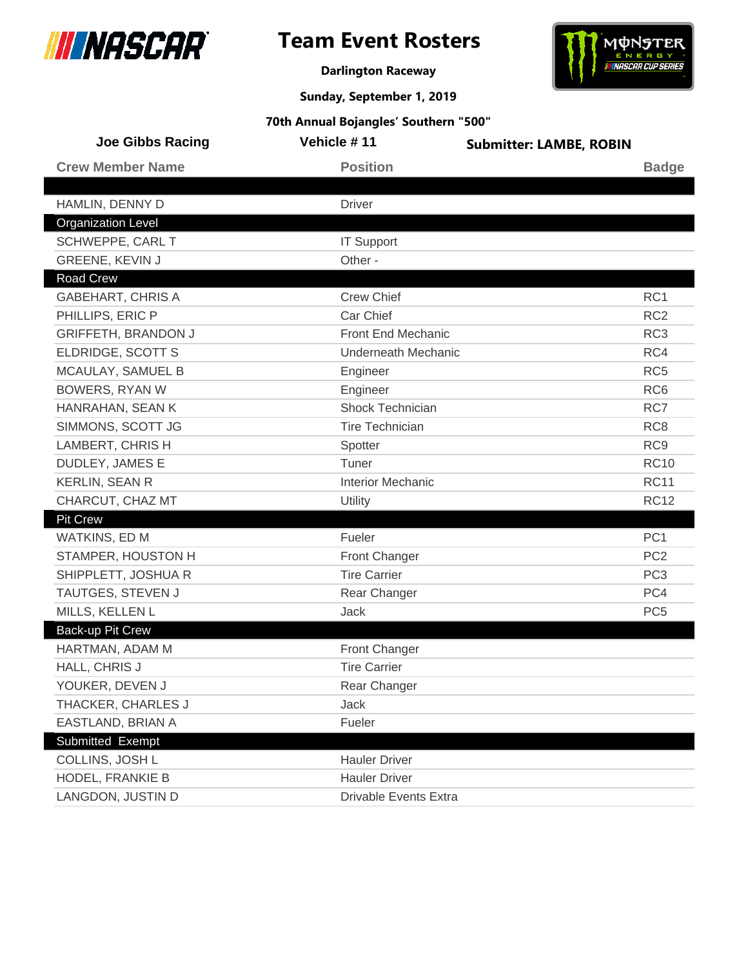



**Darlington Raceway**

**Sunday, September 1, 2019**

| <b>Joe Gibbs Racing</b>    | Vehicle #11                  | <b>Submitter: LAMBE, ROBIN</b> |
|----------------------------|------------------------------|--------------------------------|
| <b>Crew Member Name</b>    | <b>Position</b>              | <b>Badge</b>                   |
|                            |                              |                                |
| HAMLIN, DENNY D            | <b>Driver</b>                |                                |
| <b>Organization Level</b>  |                              |                                |
| SCHWEPPE, CARL T           | <b>IT Support</b>            |                                |
| GREENE, KEVIN J            | Other -                      |                                |
| Road Crew                  |                              |                                |
| <b>GABEHART, CHRIS A</b>   | <b>Crew Chief</b>            | RC1                            |
| PHILLIPS, ERIC P           | Car Chief                    | RC <sub>2</sub>                |
| <b>GRIFFETH, BRANDON J</b> | Front End Mechanic           | RC <sub>3</sub>                |
| ELDRIDGE, SCOTT S          | <b>Underneath Mechanic</b>   | RC4                            |
| MCAULAY, SAMUEL B          | Engineer                     | RC <sub>5</sub>                |
| <b>BOWERS, RYAN W</b>      | Engineer                     | RC <sub>6</sub>                |
| HANRAHAN, SEAN K           | <b>Shock Technician</b>      | RC7                            |
| SIMMONS, SCOTT JG          | <b>Tire Technician</b>       | RC <sub>8</sub>                |
| LAMBERT, CHRIS H           | Spotter                      | RC <sub>9</sub>                |
| DUDLEY, JAMES E            | Tuner                        | <b>RC10</b>                    |
| <b>KERLIN, SEAN R</b>      | <b>Interior Mechanic</b>     | <b>RC11</b>                    |
| CHARCUT, CHAZ MT           | Utility                      | <b>RC12</b>                    |
| <b>Pit Crew</b>            |                              |                                |
| WATKINS, ED M              | Fueler                       | PC <sub>1</sub>                |
| STAMPER, HOUSTON H         | Front Changer                | PC <sub>2</sub>                |
| SHIPPLETT, JOSHUA R        | <b>Tire Carrier</b>          | PC <sub>3</sub>                |
| TAUTGES, STEVEN J          | Rear Changer                 | PC4                            |
| MILLS, KELLEN L            | Jack                         | PC <sub>5</sub>                |
| Back-up Pit Crew           |                              |                                |
| HARTMAN, ADAM M            | Front Changer                |                                |
| HALL, CHRIS J              | <b>Tire Carrier</b>          |                                |
| YOUKER, DEVEN J            | Rear Changer                 |                                |
| THACKER, CHARLES J         | Jack                         |                                |
| EASTLAND, BRIAN A          | Fueler                       |                                |
| Submitted Exempt           |                              |                                |
| COLLINS, JOSH L            | <b>Hauler Driver</b>         |                                |
| HODEL, FRANKIE B           | <b>Hauler Driver</b>         |                                |
| LANGDON, JUSTIN D          | <b>Drivable Events Extra</b> |                                |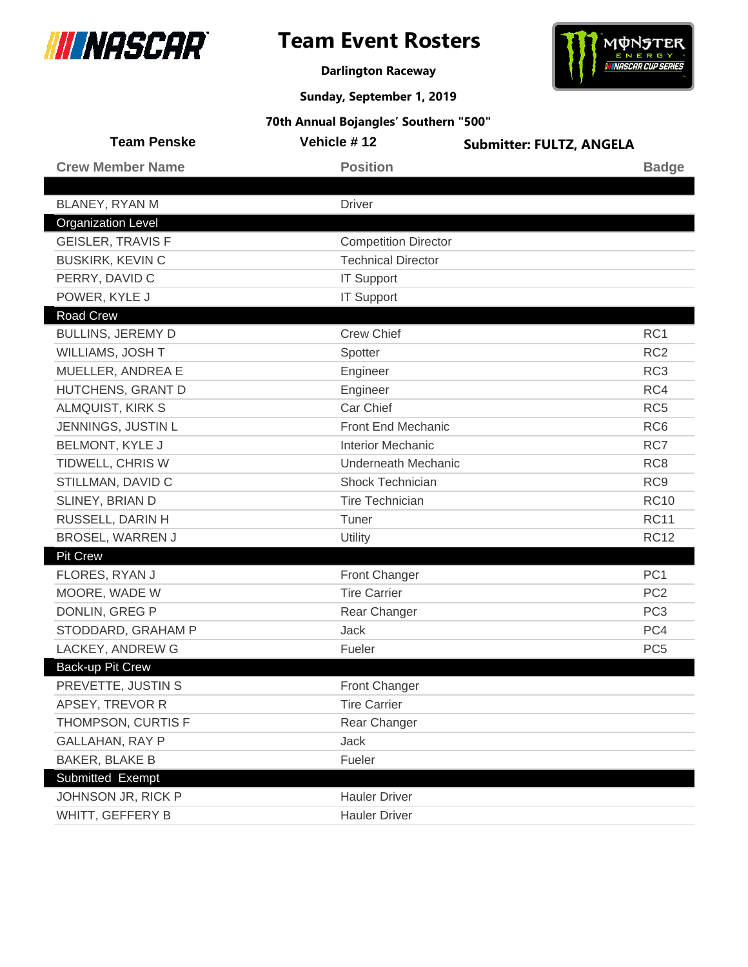



**Darlington Raceway**

**Sunday, September 1, 2019**

| <b>Team Penske</b>        | Vehicle #12                 | <b>Submitter: FULTZ, ANGELA</b> |
|---------------------------|-----------------------------|---------------------------------|
| <b>Crew Member Name</b>   | <b>Position</b>             | <b>Badge</b>                    |
|                           |                             |                                 |
| <b>BLANEY, RYAN M</b>     | <b>Driver</b>               |                                 |
| <b>Organization Level</b> |                             |                                 |
| <b>GEISLER, TRAVIS F</b>  | <b>Competition Director</b> |                                 |
| <b>BUSKIRK, KEVIN C</b>   | <b>Technical Director</b>   |                                 |
| PERRY, DAVID C            | <b>IT Support</b>           |                                 |
| POWER, KYLE J             | <b>IT Support</b>           |                                 |
| <b>Road Crew</b>          |                             |                                 |
| <b>BULLINS, JEREMY D</b>  | <b>Crew Chief</b>           | RC1                             |
| WILLIAMS, JOSH T          | Spotter                     | RC <sub>2</sub>                 |
| MUELLER, ANDREA E         | Engineer                    | RC <sub>3</sub>                 |
| HUTCHENS, GRANT D         | Engineer                    | RC4                             |
| ALMQUIST, KIRK S          | Car Chief                   | RC <sub>5</sub>                 |
| JENNINGS, JUSTIN L        | Front End Mechanic          | RC <sub>6</sub>                 |
| BELMONT, KYLE J           | <b>Interior Mechanic</b>    | RC7                             |
| TIDWELL, CHRIS W          | <b>Underneath Mechanic</b>  | RC <sub>8</sub>                 |
| STILLMAN, DAVID C         | Shock Technician            | RC <sub>9</sub>                 |
| SLINEY, BRIAN D           | <b>Tire Technician</b>      | <b>RC10</b>                     |
| RUSSELL, DARIN H          | Tuner                       | <b>RC11</b>                     |
| <b>BROSEL, WARREN J</b>   | Utility                     | <b>RC12</b>                     |
| <b>Pit Crew</b>           |                             |                                 |
| FLORES, RYAN J            | Front Changer               | PC <sub>1</sub>                 |
| MOORE, WADE W             | <b>Tire Carrier</b>         | PC <sub>2</sub>                 |
| DONLIN, GREG P            | Rear Changer                | PC <sub>3</sub>                 |
| STODDARD, GRAHAM P        | <b>Jack</b>                 | PC4                             |
| LACKEY, ANDREW G          | Fueler                      | PC <sub>5</sub>                 |
| Back-up Pit Crew          |                             |                                 |
| PREVETTE, JUSTIN S        | Front Changer               |                                 |
| APSEY, TREVOR R           | <b>Tire Carrier</b>         |                                 |
| THOMPSON, CURTIS F        | Rear Changer                |                                 |
| <b>GALLAHAN, RAY P</b>    | Jack                        |                                 |
| <b>BAKER, BLAKE B</b>     | Fueler                      |                                 |
| Submitted Exempt          |                             |                                 |
| JOHNSON JR, RICK P        | <b>Hauler Driver</b>        |                                 |
| WHITT, GEFFERY B          | <b>Hauler Driver</b>        |                                 |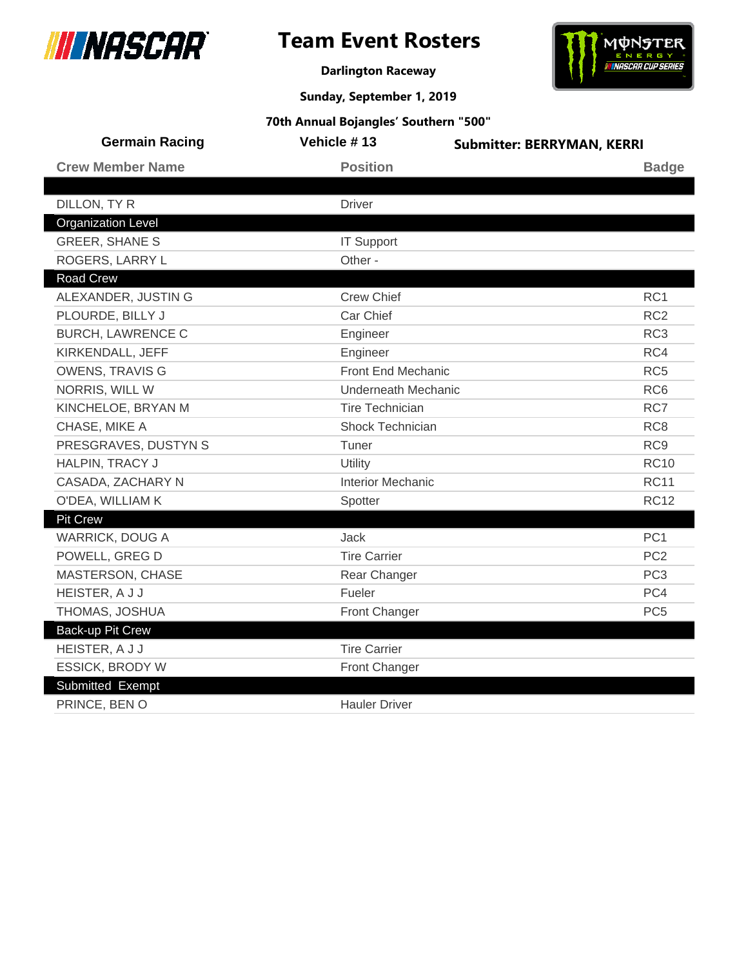



**Darlington Raceway**

**Sunday, September 1, 2019**

| <b>Germain Racing</b>     | Vehicle #13               | <b>Submitter: BERRYMAN, KERRI</b> |
|---------------------------|---------------------------|-----------------------------------|
| <b>Crew Member Name</b>   | <b>Position</b>           | <b>Badge</b>                      |
|                           |                           |                                   |
| DILLON, TY R              | <b>Driver</b>             |                                   |
| <b>Organization Level</b> |                           |                                   |
| <b>GREER, SHANE S</b>     | <b>IT Support</b>         |                                   |
| ROGERS, LARRY L           | Other -                   |                                   |
| <b>Road Crew</b>          |                           |                                   |
| ALEXANDER, JUSTIN G       | <b>Crew Chief</b>         | RC <sub>1</sub>                   |
| PLOURDE, BILLY J          | Car Chief                 | RC <sub>2</sub>                   |
| <b>BURCH, LAWRENCE C</b>  | Engineer                  | RC <sub>3</sub>                   |
| KIRKENDALL, JEFF          | Engineer                  | RC4                               |
| <b>OWENS, TRAVIS G</b>    | <b>Front End Mechanic</b> | RC <sub>5</sub>                   |
| NORRIS, WILL W            | Underneath Mechanic       | RC <sub>6</sub>                   |
| KINCHELOE, BRYAN M        | <b>Tire Technician</b>    | RC7                               |
| CHASE, MIKE A             | <b>Shock Technician</b>   | RC <sub>8</sub>                   |
| PRESGRAVES, DUSTYN S      | Tuner                     | RC <sub>9</sub>                   |
| HALPIN, TRACY J           | Utility                   | <b>RC10</b>                       |
| CASADA, ZACHARY N         | <b>Interior Mechanic</b>  | <b>RC11</b>                       |
| O'DEA, WILLIAM K          | Spotter                   | <b>RC12</b>                       |
| <b>Pit Crew</b>           |                           |                                   |
| <b>WARRICK, DOUG A</b>    | <b>Jack</b>               | PC <sub>1</sub>                   |
| POWELL, GREG D            | <b>Tire Carrier</b>       | PC <sub>2</sub>                   |
| MASTERSON, CHASE          | Rear Changer              | PC <sub>3</sub>                   |
| HEISTER, A J J            | Fueler                    | PC4                               |
| THOMAS, JOSHUA            | Front Changer             | PC <sub>5</sub>                   |
| Back-up Pit Crew          |                           |                                   |
| HEISTER, A J J            | <b>Tire Carrier</b>       |                                   |
| <b>ESSICK, BRODY W</b>    | <b>Front Changer</b>      |                                   |
| Submitted Exempt          |                           |                                   |
| PRINCE, BEN O             | <b>Hauler Driver</b>      |                                   |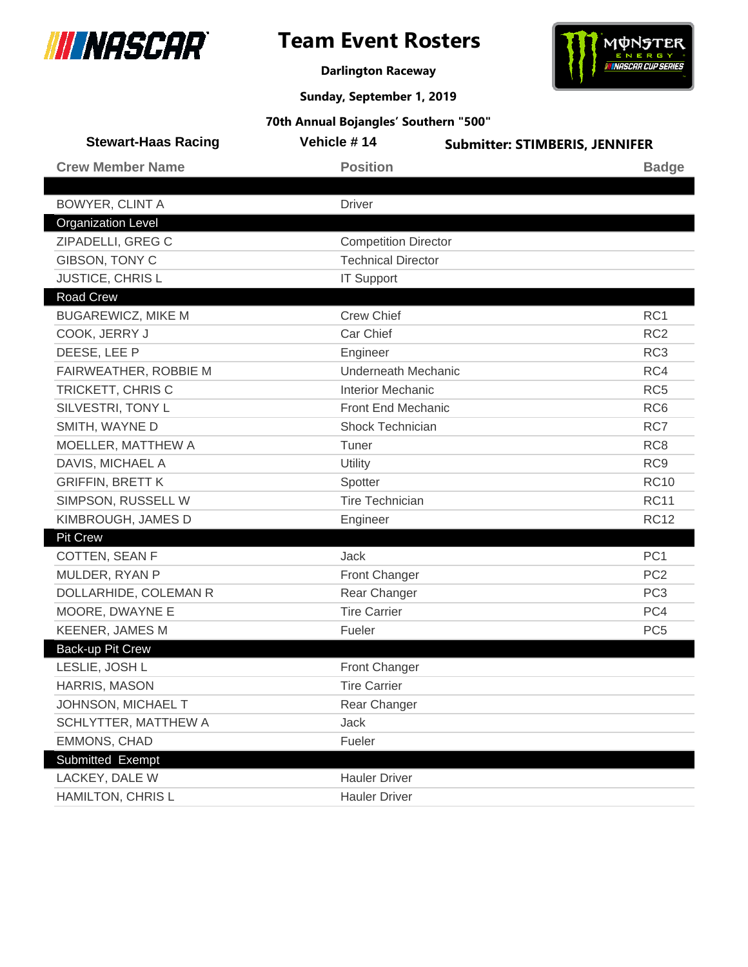



**Darlington Raceway**

**Sunday, September 1, 2019**

| <b>Stewart-Haas Racing</b>   | Vehicle #14                 | <b>Submitter: STIMBERIS, JENNIFER</b> |  |
|------------------------------|-----------------------------|---------------------------------------|--|
| <b>Crew Member Name</b>      | <b>Position</b>             | <b>Badge</b>                          |  |
|                              |                             |                                       |  |
| <b>BOWYER, CLINT A</b>       | <b>Driver</b>               |                                       |  |
| <b>Organization Level</b>    |                             |                                       |  |
| ZIPADELLI, GREG C            | <b>Competition Director</b> |                                       |  |
| GIBSON, TONY C               | <b>Technical Director</b>   |                                       |  |
| <b>JUSTICE, CHRISL</b>       | <b>IT Support</b>           |                                       |  |
| Road Crew                    |                             |                                       |  |
| <b>BUGAREWICZ, MIKE M</b>    | <b>Crew Chief</b>           | RC <sub>1</sub>                       |  |
| COOK, JERRY J                | Car Chief                   | RC <sub>2</sub>                       |  |
| DEESE, LEE P                 | Engineer                    | RC <sub>3</sub>                       |  |
| <b>FAIRWEATHER, ROBBIE M</b> | <b>Underneath Mechanic</b>  | RC4                                   |  |
| TRICKETT, CHRIS C            | <b>Interior Mechanic</b>    | RC <sub>5</sub>                       |  |
| SILVESTRI, TONY L            | Front End Mechanic          | RC <sub>6</sub>                       |  |
| SMITH, WAYNE D               | Shock Technician            | RC7                                   |  |
| MOELLER, MATTHEW A           | Tuner                       | RC <sub>8</sub>                       |  |
| DAVIS, MICHAEL A             | Utility                     | RC <sub>9</sub>                       |  |
| <b>GRIFFIN, BRETT K</b>      | Spotter                     | <b>RC10</b>                           |  |
| SIMPSON, RUSSELL W           | <b>Tire Technician</b>      | <b>RC11</b>                           |  |
| KIMBROUGH, JAMES D           | Engineer                    | <b>RC12</b>                           |  |
| <b>Pit Crew</b>              |                             |                                       |  |
| COTTEN, SEAN F               | <b>Jack</b>                 | PC <sub>1</sub>                       |  |
| MULDER, RYAN P               | Front Changer               | PC <sub>2</sub>                       |  |
| DOLLARHIDE, COLEMAN R        | Rear Changer                | PC <sub>3</sub>                       |  |
| MOORE, DWAYNE E              | <b>Tire Carrier</b>         | PC4                                   |  |
| <b>KEENER, JAMES M</b>       | Fueler                      | PC <sub>5</sub>                       |  |
| Back-up Pit Crew             |                             |                                       |  |
| LESLIE, JOSH L               | Front Changer               |                                       |  |
| HARRIS, MASON                | <b>Tire Carrier</b>         |                                       |  |
| JOHNSON, MICHAEL T           | Rear Changer                |                                       |  |
| SCHLYTTER, MATTHEW A         | Jack                        |                                       |  |
| <b>EMMONS, CHAD</b>          | Fueler                      |                                       |  |
| Submitted Exempt             |                             |                                       |  |
| LACKEY, DALE W               | <b>Hauler Driver</b>        |                                       |  |
| HAMILTON, CHRIS L            | <b>Hauler Driver</b>        |                                       |  |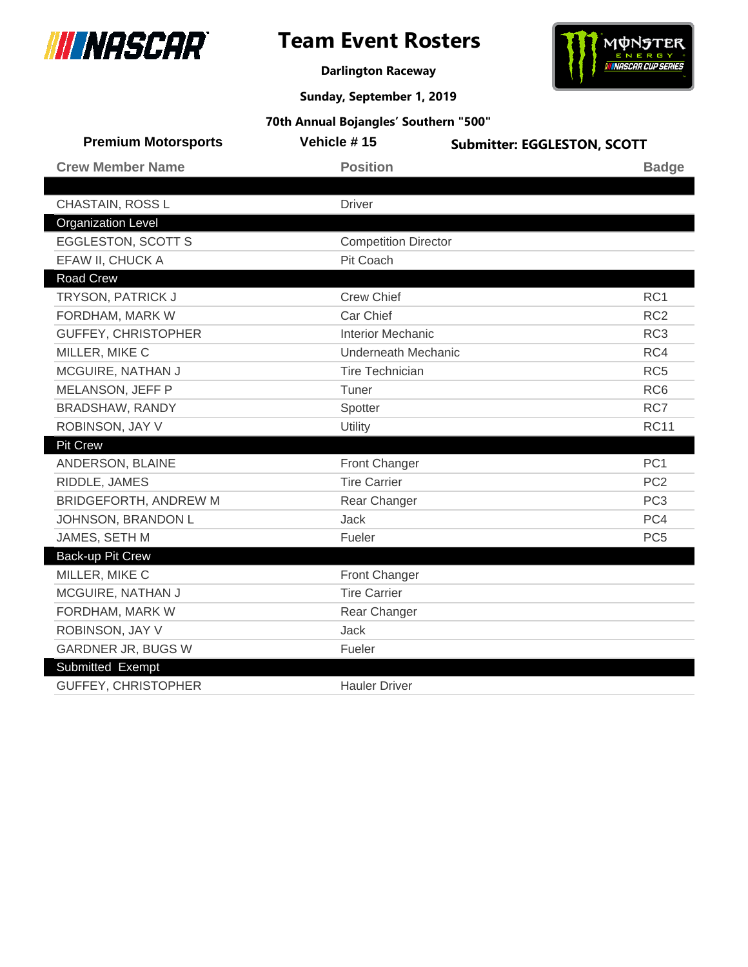



**Darlington Raceway**

**Sunday, September 1, 2019**

| <b>Premium Motorsports</b>   | Vehicle #15                 | <b>Submitter: EGGLESTON, SCOTT</b> |
|------------------------------|-----------------------------|------------------------------------|
| <b>Crew Member Name</b>      | <b>Position</b>             | <b>Badge</b>                       |
|                              |                             |                                    |
| CHASTAIN, ROSS L             | <b>Driver</b>               |                                    |
| <b>Organization Level</b>    |                             |                                    |
| <b>EGGLESTON, SCOTT S</b>    | <b>Competition Director</b> |                                    |
| EFAW II, CHUCK A             | Pit Coach                   |                                    |
| <b>Road Crew</b>             |                             |                                    |
| TRYSON, PATRICK J            | <b>Crew Chief</b>           | RC1                                |
| FORDHAM, MARK W              | Car Chief                   | RC <sub>2</sub>                    |
| GUFFEY, CHRISTOPHER          | <b>Interior Mechanic</b>    | RC <sub>3</sub>                    |
| MILLER, MIKE C               | <b>Underneath Mechanic</b>  | RC4                                |
| MCGUIRE, NATHAN J            | <b>Tire Technician</b>      | RC <sub>5</sub>                    |
| MELANSON, JEFF P             | Tuner                       | RC <sub>6</sub>                    |
| BRADSHAW, RANDY              | Spotter                     | RC7                                |
| ROBINSON, JAY V              | Utility                     | <b>RC11</b>                        |
| <b>Pit Crew</b>              |                             |                                    |
| ANDERSON, BLAINE             | Front Changer               | PC <sub>1</sub>                    |
| RIDDLE, JAMES                | <b>Tire Carrier</b>         | PC <sub>2</sub>                    |
| <b>BRIDGEFORTH, ANDREW M</b> | Rear Changer                | PC <sub>3</sub>                    |
| JOHNSON, BRANDON L           | Jack                        | PC4                                |
| JAMES, SETH M                | Fueler                      | PC <sub>5</sub>                    |
| Back-up Pit Crew             |                             |                                    |
| MILLER, MIKE C               | Front Changer               |                                    |
| MCGUIRE, NATHAN J            | <b>Tire Carrier</b>         |                                    |
| FORDHAM, MARK W              | Rear Changer                |                                    |
| ROBINSON, JAY V              | <b>Jack</b>                 |                                    |
| GARDNER JR, BUGS W           | Fueler                      |                                    |
| Submitted Exempt             |                             |                                    |
| <b>GUFFEY, CHRISTOPHER</b>   | <b>Hauler Driver</b>        |                                    |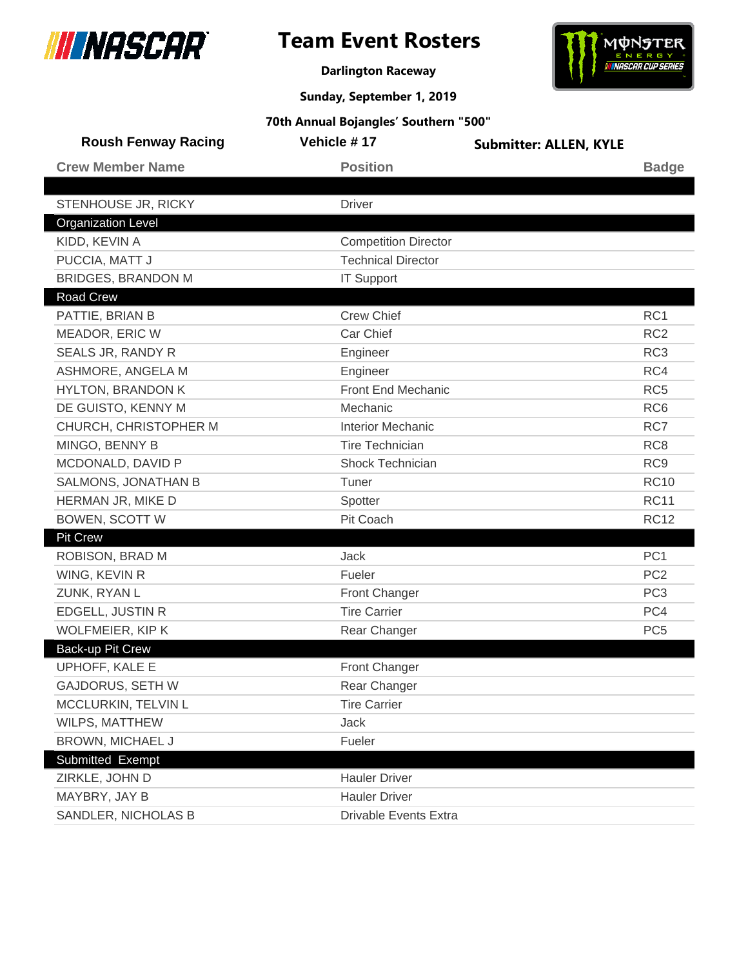

# **Team Event Rosters**



**Darlington Raceway**

**Sunday, September 1, 2019**

| <b>Roush Fenway Racing</b> | Vehicle #17                  | <b>Submitter: ALLEN, KYLE</b> |                 |
|----------------------------|------------------------------|-------------------------------|-----------------|
| <b>Crew Member Name</b>    | <b>Position</b>              |                               | <b>Badge</b>    |
|                            |                              |                               |                 |
| STENHOUSE JR, RICKY        | <b>Driver</b>                |                               |                 |
| <b>Organization Level</b>  |                              |                               |                 |
| KIDD, KEVIN A              | <b>Competition Director</b>  |                               |                 |
| PUCCIA, MATT J             | <b>Technical Director</b>    |                               |                 |
| <b>BRIDGES, BRANDON M</b>  | <b>IT Support</b>            |                               |                 |
| <b>Road Crew</b>           |                              |                               |                 |
| PATTIE, BRIAN B            | <b>Crew Chief</b>            |                               | RC <sub>1</sub> |
| MEADOR, ERIC W             | Car Chief                    |                               | RC <sub>2</sub> |
| SEALS JR, RANDY R          | Engineer                     |                               | RC <sub>3</sub> |
| ASHMORE, ANGELA M          | Engineer                     |                               | RC4             |
| <b>HYLTON, BRANDON K</b>   | <b>Front End Mechanic</b>    |                               | RC <sub>5</sub> |
| DE GUISTO, KENNY M         | Mechanic                     |                               | RC <sub>6</sub> |
| CHURCH, CHRISTOPHER M      | <b>Interior Mechanic</b>     |                               | RC7             |
| MINGO, BENNY B             | <b>Tire Technician</b>       |                               | RC <sub>8</sub> |
| MCDONALD, DAVID P          | Shock Technician             |                               | RC <sub>9</sub> |
| SALMONS, JONATHAN B        | Tuner                        |                               | <b>RC10</b>     |
| HERMAN JR, MIKE D          | Spotter                      |                               | <b>RC11</b>     |
| <b>BOWEN, SCOTT W</b>      | Pit Coach                    |                               | <b>RC12</b>     |
| <b>Pit Crew</b>            |                              |                               |                 |
| ROBISON, BRAD M            | <b>Jack</b>                  |                               | PC <sub>1</sub> |
| WING, KEVIN R              | Fueler                       |                               | PC <sub>2</sub> |
| ZUNK, RYAN L               | <b>Front Changer</b>         |                               | PC <sub>3</sub> |
| EDGELL, JUSTIN R           | <b>Tire Carrier</b>          |                               | PC4             |
| WOLFMEIER, KIP K           | Rear Changer                 |                               | PC <sub>5</sub> |
| <b>Back-up Pit Crew</b>    |                              |                               |                 |
| UPHOFF, KALE E             | Front Changer                |                               |                 |
| GAJDORUS, SETH W           | Rear Changer                 |                               |                 |
| MCCLURKIN, TELVIN L        | <b>Tire Carrier</b>          |                               |                 |
| WILPS, MATTHEW             | Jack                         |                               |                 |
| <b>BROWN, MICHAEL J</b>    | Fueler                       |                               |                 |
| Submitted Exempt           |                              |                               |                 |
| ZIRKLE, JOHN D             | <b>Hauler Driver</b>         |                               |                 |
| MAYBRY, JAY B              | <b>Hauler Driver</b>         |                               |                 |
| SANDLER, NICHOLAS B        | <b>Drivable Events Extra</b> |                               |                 |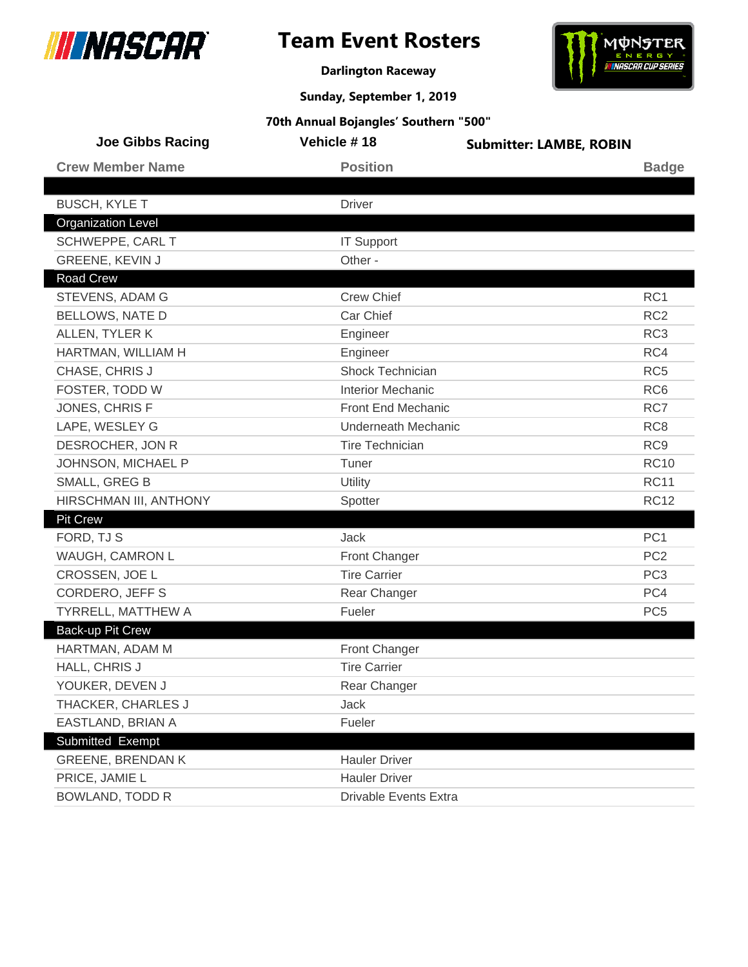

I

# **Team Event Rosters**



**Darlington Raceway**

**Sunday, September 1, 2019**

| <b>Joe Gibbs Racing</b>   | Vehicle #18              | <b>Submitter: LAMBE, ROBIN</b> |
|---------------------------|--------------------------|--------------------------------|
| <b>Crew Member Name</b>   | <b>Position</b>          | <b>Badge</b>                   |
|                           |                          |                                |
| <b>BUSCH, KYLE T</b>      | <b>Driver</b>            |                                |
| <b>Organization Level</b> |                          |                                |
| SCHWEPPE, CARL T          | <b>IT Support</b>        |                                |
| GREENE, KEVIN J           | Other -                  |                                |
| <b>Road Crew</b>          |                          |                                |
| STEVENS, ADAM G           | <b>Crew Chief</b>        | RC <sub>1</sub>                |
| <b>BELLOWS, NATE D</b>    | Car Chief                | RC <sub>2</sub>                |
| ALLEN, TYLER K            | Engineer                 | RC <sub>3</sub>                |
| HARTMAN, WILLIAM H        | Engineer                 | RC4                            |
| CHASE, CHRIS J            | Shock Technician         | RC <sub>5</sub>                |
| FOSTER, TODD W            | <b>Interior Mechanic</b> | RC <sub>6</sub>                |
| JONES, CHRIS F            | Front End Mechanic       | RC7                            |
| LAPE, WESLEY G            | Underneath Mechanic      | RC <sub>8</sub>                |
| DESROCHER, JON R          | <b>Tire Technician</b>   | RC <sub>9</sub>                |
| JOHNSON, MICHAEL P        | Tuner                    | <b>RC10</b>                    |
| SMALL, GREG B             | Utility                  | <b>RC11</b>                    |
| HIRSCHMAN III, ANTHONY    | Spotter                  | <b>RC12</b>                    |
| <b>Pit Crew</b>           |                          |                                |
| FORD, TJ S                | <b>Jack</b>              | PC <sub>1</sub>                |
| WAUGH, CAMRON L           | <b>Front Changer</b>     | PC <sub>2</sub>                |
| CROSSEN, JOE L            | <b>Tire Carrier</b>      | PC <sub>3</sub>                |
| <b>CORDERO, JEFF S</b>    | Rear Changer             | PC4                            |
| TYRRELL, MATTHEW A        | Fueler                   | PC <sub>5</sub>                |
| Back-up Pit Crew          |                          |                                |
| HARTMAN, ADAM M           | Front Changer            |                                |
| HALL, CHRIS J             | <b>Tire Carrier</b>      |                                |
| YOUKER, DEVEN J           | Rear Changer             |                                |
| THACKER, CHARLES J        | Jack                     |                                |
| EASTLAND, BRIAN A         | Fueler                   |                                |
| Submitted Exempt          |                          |                                |
| <b>GREENE, BRENDAN K</b>  | <b>Hauler Driver</b>     |                                |
| PRICE, JAMIE L            | <b>Hauler Driver</b>     |                                |
| BOWLAND, TODD R           | Drivable Events Extra    |                                |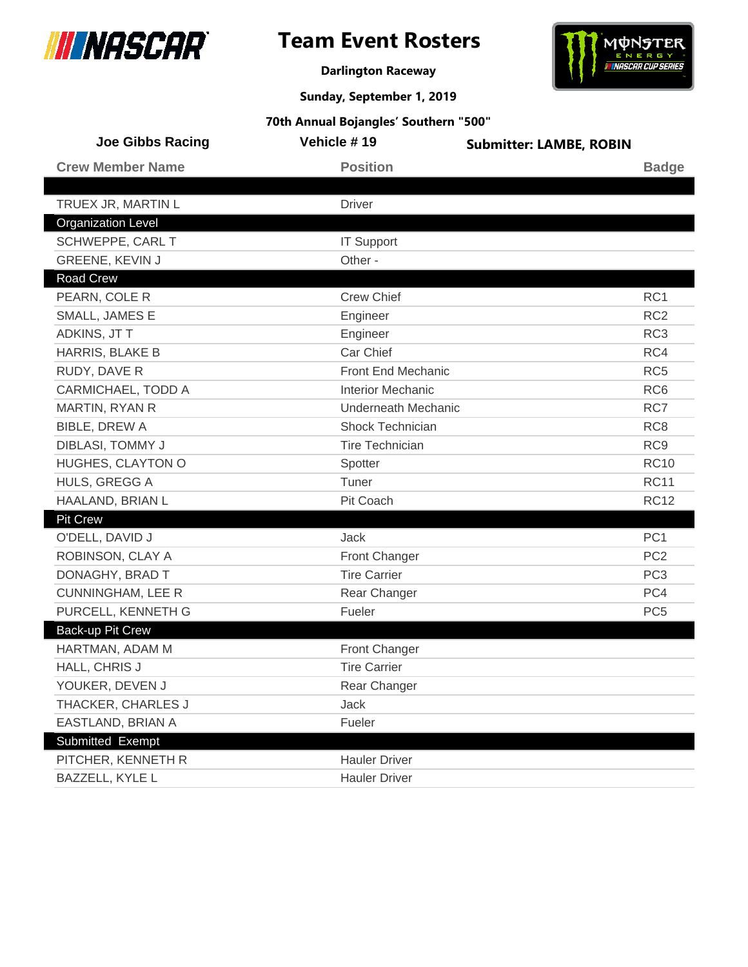

I

# **Team Event Rosters**



**Darlington Raceway**

**Sunday, September 1, 2019**

| <b>Joe Gibbs Racing</b>   | Vehicle #19                | <b>Submitter: LAMBE, ROBIN</b> |
|---------------------------|----------------------------|--------------------------------|
| <b>Crew Member Name</b>   | <b>Position</b>            | <b>Badge</b>                   |
| TRUEX JR, MARTIN L        | <b>Driver</b>              |                                |
| <b>Organization Level</b> |                            |                                |
| SCHWEPPE, CARL T          | <b>IT Support</b>          |                                |
| GREENE, KEVIN J           | Other -                    |                                |
| <b>Road Crew</b>          |                            |                                |
| PEARN, COLE R             | <b>Crew Chief</b>          | RC <sub>1</sub>                |
| SMALL, JAMES E            | Engineer                   | RC <sub>2</sub>                |
| ADKINS, JT T              | Engineer                   | RC <sub>3</sub>                |
| HARRIS, BLAKE B           | Car Chief                  | RC4                            |
| RUDY, DAVE R              | Front End Mechanic         | RC <sub>5</sub>                |
| CARMICHAEL, TODD A        | <b>Interior Mechanic</b>   | RC <sub>6</sub>                |
| MARTIN, RYAN R            | <b>Underneath Mechanic</b> | RC7                            |
| <b>BIBLE, DREW A</b>      | Shock Technician           | RC <sub>8</sub>                |
| DIBLASI, TOMMY J          | <b>Tire Technician</b>     | RC <sub>9</sub>                |
| HUGHES, CLAYTON O         | Spotter                    | <b>RC10</b>                    |
| HULS, GREGG A             | Tuner                      | <b>RC11</b>                    |
| HAALAND, BRIAN L          | Pit Coach                  | <b>RC12</b>                    |
| <b>Pit Crew</b>           |                            |                                |
| O'DELL, DAVID J           | Jack                       | PC <sub>1</sub>                |
| ROBINSON, CLAY A          | Front Changer              | PC <sub>2</sub>                |
| DONAGHY, BRAD T           | <b>Tire Carrier</b>        | PC <sub>3</sub>                |
| <b>CUNNINGHAM, LEE R</b>  | Rear Changer               | PC4                            |
| PURCELL, KENNETH G        | Fueler                     | PC <sub>5</sub>                |
| Back-up Pit Crew          |                            |                                |
| HARTMAN, ADAM M           | Front Changer              |                                |
| HALL, CHRIS J             | <b>Tire Carrier</b>        |                                |
| YOUKER, DEVEN J           | Rear Changer               |                                |
| THACKER, CHARLES J        | Jack                       |                                |
| EASTLAND, BRIAN A         | Fueler                     |                                |
| Submitted Exempt          |                            |                                |
| PITCHER, KENNETH R        | <b>Hauler Driver</b>       |                                |
| BAZZELL, KYLE L           | <b>Hauler Driver</b>       |                                |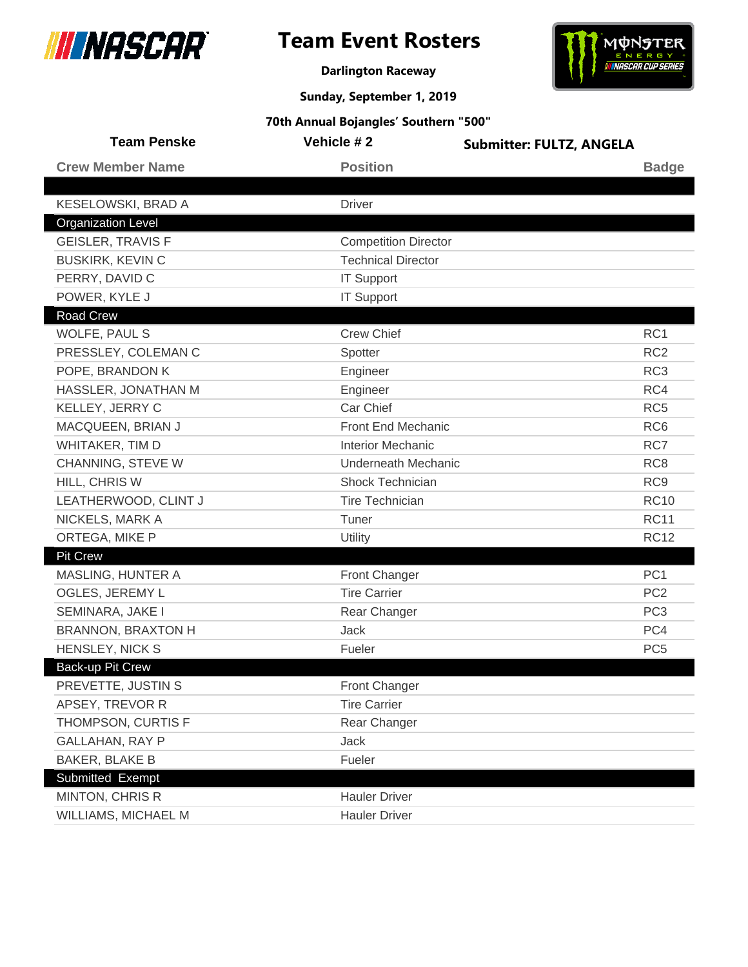



**Darlington Raceway**

**Sunday, September 1, 2019**

| <b>Team Penske</b>        | Vehicle #2                  | <b>Submitter: FULTZ, ANGELA</b> |
|---------------------------|-----------------------------|---------------------------------|
| <b>Crew Member Name</b>   | <b>Position</b>             | <b>Badge</b>                    |
|                           |                             |                                 |
| KESELOWSKI, BRAD A        | <b>Driver</b>               |                                 |
| <b>Organization Level</b> |                             |                                 |
| <b>GEISLER, TRAVIS F</b>  | <b>Competition Director</b> |                                 |
| <b>BUSKIRK, KEVIN C</b>   | <b>Technical Director</b>   |                                 |
| PERRY, DAVID C            | <b>IT Support</b>           |                                 |
| POWER, KYLE J             | <b>IT Support</b>           |                                 |
| <b>Road Crew</b>          |                             |                                 |
| WOLFE, PAUL S             | <b>Crew Chief</b>           | RC1                             |
| PRESSLEY, COLEMAN C       | Spotter                     | RC <sub>2</sub>                 |
| POPE, BRANDON K           | Engineer                    | RC <sub>3</sub>                 |
| HASSLER, JONATHAN M       | Engineer                    | RC4                             |
| KELLEY, JERRY C           | Car Chief                   | RC <sub>5</sub>                 |
| MACQUEEN, BRIAN J         | Front End Mechanic          | RC <sub>6</sub>                 |
| WHITAKER, TIM D           | <b>Interior Mechanic</b>    | RC7                             |
| CHANNING, STEVE W         | <b>Underneath Mechanic</b>  | RC <sub>8</sub>                 |
| HILL, CHRIS W             | Shock Technician            | RC <sub>9</sub>                 |
| LEATHERWOOD, CLINT J      | <b>Tire Technician</b>      | <b>RC10</b>                     |
| NICKELS, MARK A           | Tuner                       | <b>RC11</b>                     |
| ORTEGA, MIKE P            | Utility                     | <b>RC12</b>                     |
| <b>Pit Crew</b>           |                             |                                 |
| <b>MASLING, HUNTER A</b>  | Front Changer               | PC <sub>1</sub>                 |
| OGLES, JEREMY L           | <b>Tire Carrier</b>         | PC <sub>2</sub>                 |
| SEMINARA, JAKE I          | Rear Changer                | PC <sub>3</sub>                 |
| <b>BRANNON, BRAXTON H</b> | Jack                        | PC4                             |
| HENSLEY, NICK S           | Fueler                      | PC <sub>5</sub>                 |
| Back-up Pit Crew          |                             |                                 |
| PREVETTE, JUSTIN S        | Front Changer               |                                 |
| APSEY, TREVOR R           | <b>Tire Carrier</b>         |                                 |
| THOMPSON, CURTIS F        | Rear Changer                |                                 |
| <b>GALLAHAN, RAY P</b>    | Jack                        |                                 |
| <b>BAKER, BLAKE B</b>     | Fueler                      |                                 |
| Submitted Exempt          |                             |                                 |
| MINTON, CHRIS R           | <b>Hauler Driver</b>        |                                 |
| WILLIAMS, MICHAEL M       | <b>Hauler Driver</b>        |                                 |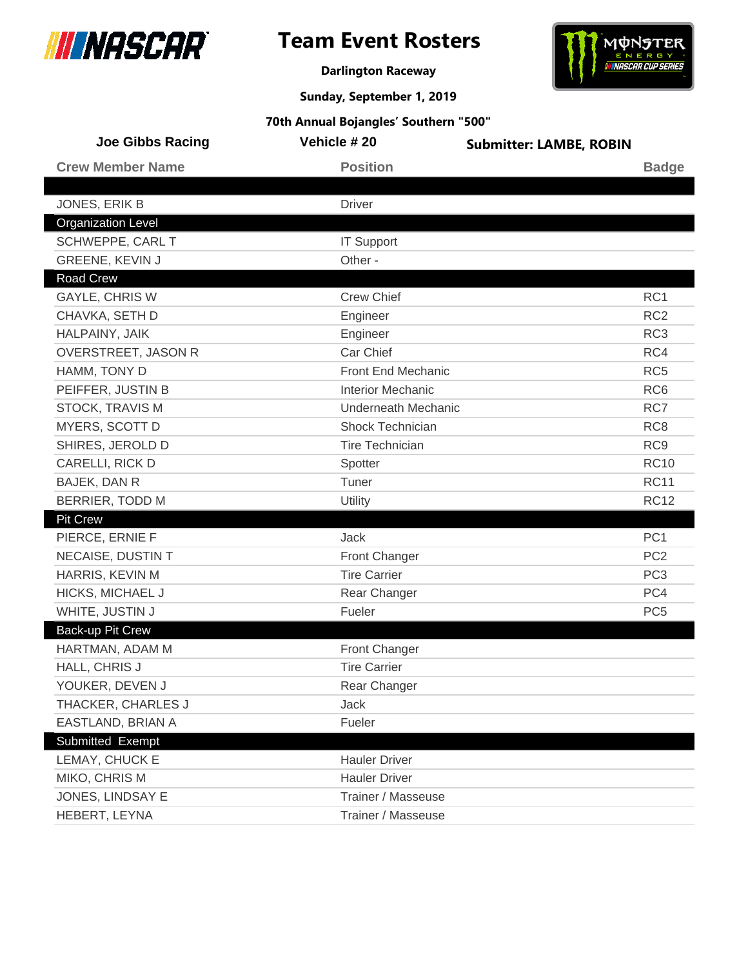

I

# **Team Event Rosters**



**Darlington Raceway**

**Sunday, September 1, 2019**

| <b>Joe Gibbs Racing</b>   | Vehicle #20                | <b>Submitter: LAMBE, ROBIN</b> |
|---------------------------|----------------------------|--------------------------------|
| <b>Crew Member Name</b>   | <b>Position</b>            | <b>Badge</b>                   |
|                           |                            |                                |
| JONES, ERIK B             | <b>Driver</b>              |                                |
| <b>Organization Level</b> |                            |                                |
| SCHWEPPE, CARL T          | <b>IT Support</b>          |                                |
| GREENE, KEVIN J           | Other -                    |                                |
| <b>Road Crew</b>          |                            |                                |
| <b>GAYLE, CHRIS W</b>     | <b>Crew Chief</b>          | RC <sub>1</sub>                |
| CHAVKA, SETH D            | Engineer                   | RC <sub>2</sub>                |
| HALPAINY, JAIK            | Engineer                   | RC <sub>3</sub>                |
| OVERSTREET, JASON R       | Car Chief                  | RC4                            |
| HAMM, TONY D              | Front End Mechanic         | RC <sub>5</sub>                |
| PEIFFER, JUSTIN B         | <b>Interior Mechanic</b>   | RC <sub>6</sub>                |
| <b>STOCK, TRAVIS M</b>    | <b>Underneath Mechanic</b> | RC7                            |
| MYERS, SCOTT D            | <b>Shock Technician</b>    | RC <sub>8</sub>                |
| SHIRES, JEROLD D          | <b>Tire Technician</b>     | RC <sub>9</sub>                |
| CARELLI, RICK D           | Spotter                    | <b>RC10</b>                    |
| BAJEK, DAN R              | Tuner                      | <b>RC11</b>                    |
| BERRIER, TODD M           | Utility                    | <b>RC12</b>                    |
| <b>Pit Crew</b>           |                            |                                |
| PIERCE, ERNIE F           | Jack                       | PC <sub>1</sub>                |
| NECAISE, DUSTIN T         | <b>Front Changer</b>       | PC <sub>2</sub>                |
| HARRIS, KEVIN M           | <b>Tire Carrier</b>        | PC <sub>3</sub>                |
| <b>HICKS, MICHAEL J</b>   | Rear Changer               | PC4                            |
| WHITE, JUSTIN J           | Fueler                     | PC <sub>5</sub>                |
| Back-up Pit Crew          |                            |                                |
| HARTMAN, ADAM M           | <b>Front Changer</b>       |                                |
| HALL, CHRIS J             | <b>Tire Carrier</b>        |                                |
| YOUKER, DEVEN J           | Rear Changer               |                                |
| THACKER, CHARLES J        | Jack                       |                                |
| EASTLAND, BRIAN A         | Fueler                     |                                |
| Submitted Exempt          |                            |                                |
| LEMAY, CHUCK E            | <b>Hauler Driver</b>       |                                |
| MIKO, CHRIS M             | <b>Hauler Driver</b>       |                                |
| JONES, LINDSAY E          | Trainer / Masseuse         |                                |
| HEBERT, LEYNA             | Trainer / Masseuse         |                                |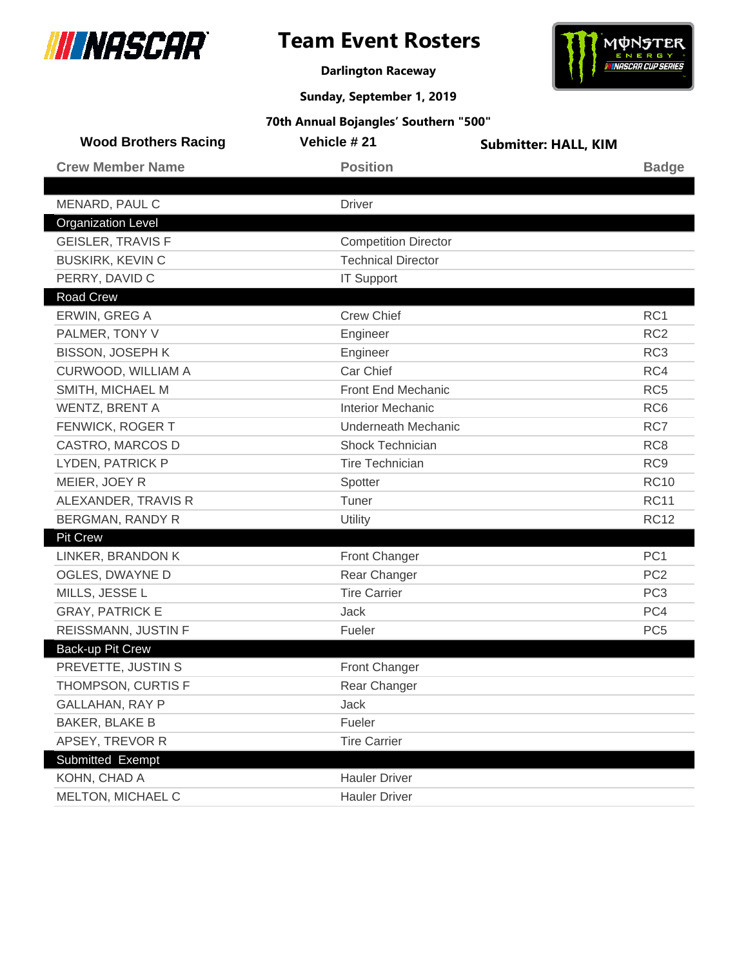



**Darlington Raceway**

**Sunday, September 1, 2019**

| <b>Wood Brothers Racing</b> | Vehicle #21                 | <b>Submitter: HALL, KIM</b> |                 |
|-----------------------------|-----------------------------|-----------------------------|-----------------|
| <b>Crew Member Name</b>     | <b>Position</b>             |                             | <b>Badge</b>    |
|                             |                             |                             |                 |
| MENARD, PAUL C              | <b>Driver</b>               |                             |                 |
| <b>Organization Level</b>   |                             |                             |                 |
| <b>GEISLER, TRAVIS F</b>    | <b>Competition Director</b> |                             |                 |
| <b>BUSKIRK, KEVIN C</b>     | <b>Technical Director</b>   |                             |                 |
| PERRY, DAVID C              | <b>IT Support</b>           |                             |                 |
| <b>Road Crew</b>            |                             |                             |                 |
| ERWIN, GREG A               | <b>Crew Chief</b>           |                             | RC1             |
| PALMER, TONY V              | Engineer                    |                             | RC <sub>2</sub> |
| <b>BISSON, JOSEPH K</b>     | Engineer                    |                             | RC <sub>3</sub> |
| CURWOOD, WILLIAM A          | Car Chief                   |                             | RC4             |
| SMITH, MICHAEL M            | Front End Mechanic          |                             | RC <sub>5</sub> |
| WENTZ, BRENT A              | <b>Interior Mechanic</b>    |                             | RC <sub>6</sub> |
| FENWICK, ROGER T            | <b>Underneath Mechanic</b>  |                             | RC7             |
| CASTRO, MARCOS D            | Shock Technician            |                             | RC <sub>8</sub> |
| LYDEN, PATRICK P            | <b>Tire Technician</b>      |                             | RC <sub>9</sub> |
| MEIER, JOEY R               | Spotter                     |                             | <b>RC10</b>     |
| ALEXANDER, TRAVIS R         | Tuner                       |                             | <b>RC11</b>     |
| BERGMAN, RANDY R            | Utility                     |                             | <b>RC12</b>     |
| <b>Pit Crew</b>             |                             |                             |                 |
| LINKER, BRANDON K           | Front Changer               |                             | PC <sub>1</sub> |
| OGLES, DWAYNE D             | Rear Changer                |                             | PC <sub>2</sub> |
| MILLS, JESSE L              | <b>Tire Carrier</b>         |                             | PC <sub>3</sub> |
| <b>GRAY, PATRICK E</b>      | <b>Jack</b>                 |                             | PC4             |
| REISSMANN, JUSTIN F         | Fueler                      |                             | PC <sub>5</sub> |
| Back-up Pit Crew            |                             |                             |                 |
| PREVETTE, JUSTIN S          | <b>Front Changer</b>        |                             |                 |
| THOMPSON, CURTIS F          | Rear Changer                |                             |                 |
| <b>GALLAHAN, RAY P</b>      | Jack                        |                             |                 |
| <b>BAKER, BLAKE B</b>       | Fueler                      |                             |                 |
| APSEY, TREVOR R             | <b>Tire Carrier</b>         |                             |                 |
| Submitted Exempt            |                             |                             |                 |
| KOHN, CHAD A                | <b>Hauler Driver</b>        |                             |                 |
| MELTON, MICHAEL C           | <b>Hauler Driver</b>        |                             |                 |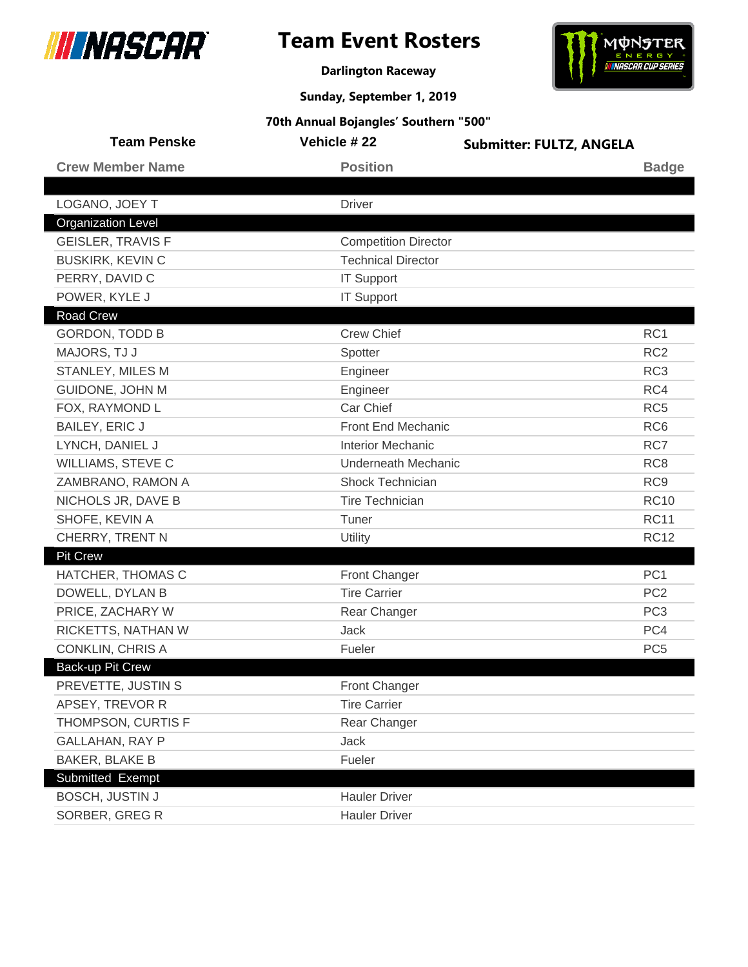



**Darlington Raceway**

**Sunday, September 1, 2019**

| <b>Team Penske</b>        | Vehicle #22                 | <b>Submitter: FULTZ, ANGELA</b> |
|---------------------------|-----------------------------|---------------------------------|
| <b>Crew Member Name</b>   | <b>Position</b>             | <b>Badge</b>                    |
|                           |                             |                                 |
| LOGANO, JOEY T            | <b>Driver</b>               |                                 |
| <b>Organization Level</b> |                             |                                 |
| <b>GEISLER, TRAVIS F</b>  | <b>Competition Director</b> |                                 |
| <b>BUSKIRK, KEVIN C</b>   | <b>Technical Director</b>   |                                 |
| PERRY, DAVID C            | <b>IT Support</b>           |                                 |
| POWER, KYLE J             | <b>IT Support</b>           |                                 |
| <b>Road Crew</b>          |                             |                                 |
| <b>GORDON, TODD B</b>     | <b>Crew Chief</b>           | RC <sub>1</sub>                 |
| MAJORS, TJ J              | Spotter                     | RC <sub>2</sub>                 |
| STANLEY, MILES M          | Engineer                    | RC <sub>3</sub>                 |
| GUIDONE, JOHN M           | Engineer                    | RC4                             |
| FOX, RAYMOND L            | Car Chief                   | RC <sub>5</sub>                 |
| <b>BAILEY, ERIC J</b>     | Front End Mechanic          | RC <sub>6</sub>                 |
| LYNCH, DANIEL J           | <b>Interior Mechanic</b>    | RC7                             |
| WILLIAMS, STEVE C         | <b>Underneath Mechanic</b>  | RC <sub>8</sub>                 |
| ZAMBRANO, RAMON A         | Shock Technician            | RC <sub>9</sub>                 |
| NICHOLS JR, DAVE B        | <b>Tire Technician</b>      | <b>RC10</b>                     |
| SHOFE, KEVIN A            | Tuner                       | <b>RC11</b>                     |
| CHERRY, TRENT N           | Utility                     | <b>RC12</b>                     |
| <b>Pit Crew</b>           |                             |                                 |
| HATCHER, THOMAS C         | Front Changer               | PC <sub>1</sub>                 |
| DOWELL, DYLAN B           | <b>Tire Carrier</b>         | PC <sub>2</sub>                 |
| PRICE, ZACHARY W          | Rear Changer                | PC <sub>3</sub>                 |
| RICKETTS, NATHAN W        | <b>Jack</b>                 | PC4                             |
| <b>CONKLIN, CHRIS A</b>   | Fueler                      | PC <sub>5</sub>                 |
| Back-up Pit Crew          |                             |                                 |
| PREVETTE, JUSTIN S        | <b>Front Changer</b>        |                                 |
| APSEY, TREVOR R           | <b>Tire Carrier</b>         |                                 |
| THOMPSON, CURTIS F        | Rear Changer                |                                 |
| GALLAHAN, RAY P           | Jack                        |                                 |
| <b>BAKER, BLAKE B</b>     | Fueler                      |                                 |
| Submitted Exempt          |                             |                                 |
| <b>BOSCH, JUSTIN J</b>    | <b>Hauler Driver</b>        |                                 |
| SORBER, GREG R            | <b>Hauler Driver</b>        |                                 |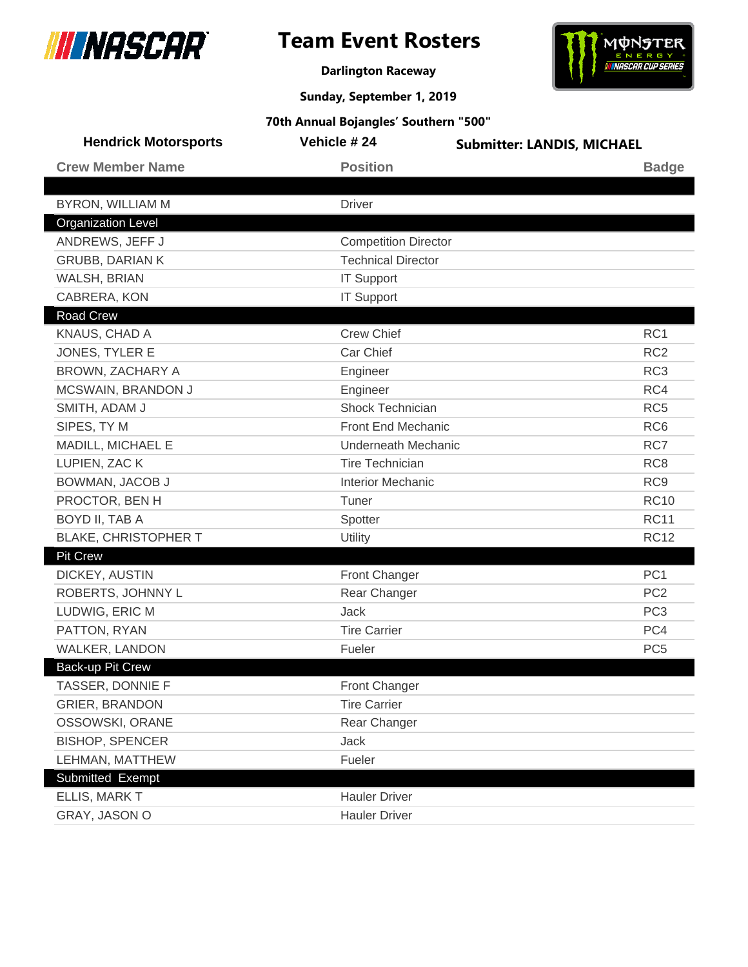



**Darlington Raceway**

**Sunday, September 1, 2019**

| <b>Hendrick Motorsports</b> | Vehicle #24                 | <b>Submitter: LANDIS, MICHAEL</b> |  |
|-----------------------------|-----------------------------|-----------------------------------|--|
| <b>Crew Member Name</b>     | <b>Position</b>             | <b>Badge</b>                      |  |
|                             |                             |                                   |  |
| <b>BYRON, WILLIAM M</b>     | <b>Driver</b>               |                                   |  |
| <b>Organization Level</b>   |                             |                                   |  |
| ANDREWS, JEFF J             | <b>Competition Director</b> |                                   |  |
| <b>GRUBB, DARIAN K</b>      | <b>Technical Director</b>   |                                   |  |
| WALSH, BRIAN                | <b>IT Support</b>           |                                   |  |
| CABRERA, KON                | <b>IT Support</b>           |                                   |  |
| <b>Road Crew</b>            |                             |                                   |  |
| KNAUS, CHAD A               | <b>Crew Chief</b>           | RC1                               |  |
| JONES, TYLER E              | Car Chief                   | RC <sub>2</sub>                   |  |
| BROWN, ZACHARY A            | Engineer                    | RC <sub>3</sub>                   |  |
| MCSWAIN, BRANDON J          | Engineer                    | RC4                               |  |
| SMITH, ADAM J               | <b>Shock Technician</b>     | RC <sub>5</sub>                   |  |
| SIPES, TY M                 | Front End Mechanic          | RC <sub>6</sub>                   |  |
| MADILL, MICHAEL E           | Underneath Mechanic         | RC7                               |  |
| LUPIEN, ZAC K               | <b>Tire Technician</b>      | RC <sub>8</sub>                   |  |
| BOWMAN, JACOB J             | <b>Interior Mechanic</b>    | RC <sub>9</sub>                   |  |
| PROCTOR, BEN H              | Tuner                       | <b>RC10</b>                       |  |
| BOYD II, TAB A              | Spotter                     | <b>RC11</b>                       |  |
| <b>BLAKE, CHRISTOPHER T</b> | Utility                     | <b>RC12</b>                       |  |
| <b>Pit Crew</b>             |                             |                                   |  |
| DICKEY, AUSTIN              | Front Changer               | PC <sub>1</sub>                   |  |
| ROBERTS, JOHNNY L           | Rear Changer                | PC <sub>2</sub>                   |  |
| LUDWIG, ERIC M              | Jack                        | PC <sub>3</sub>                   |  |
| PATTON, RYAN                | <b>Tire Carrier</b>         | PC4                               |  |
| WALKER, LANDON              | Fueler                      | PC <sub>5</sub>                   |  |
| Back-up Pit Crew            |                             |                                   |  |
| TASSER, DONNIE F            | Front Changer               |                                   |  |
| <b>GRIER, BRANDON</b>       | <b>Tire Carrier</b>         |                                   |  |
| OSSOWSKI, ORANE             | Rear Changer                |                                   |  |
| <b>BISHOP, SPENCER</b>      | Jack                        |                                   |  |
| LEHMAN, MATTHEW             | Fueler                      |                                   |  |
| Submitted Exempt            |                             |                                   |  |
| ELLIS, MARK T               | <b>Hauler Driver</b>        |                                   |  |
| GRAY, JASON O               | <b>Hauler Driver</b>        |                                   |  |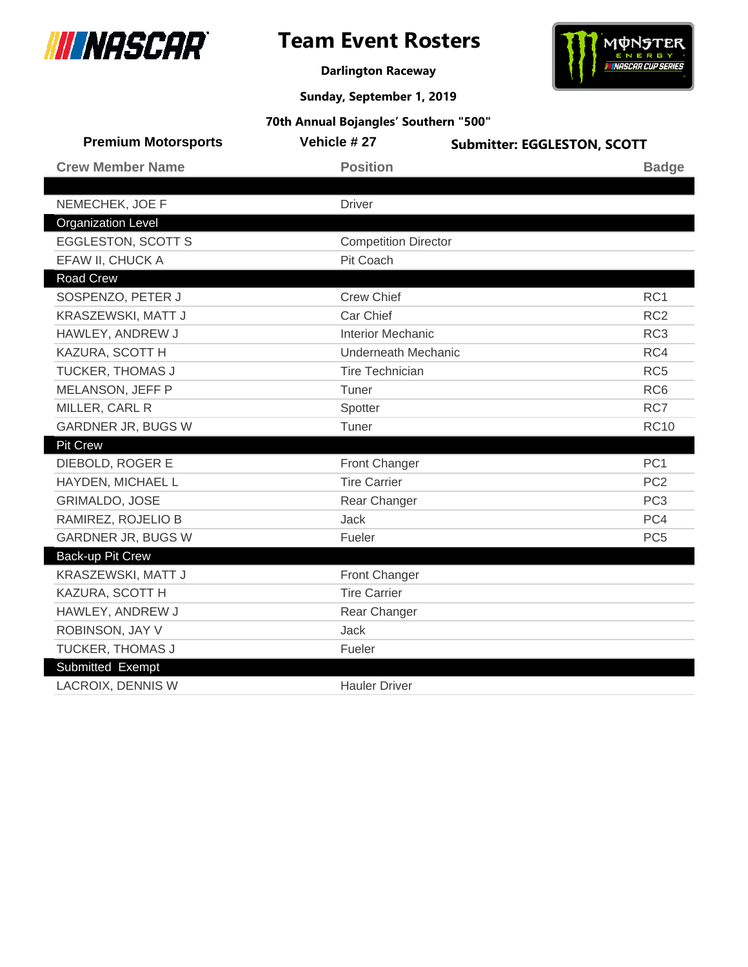



**Darlington Raceway**

**Sunday, September 1, 2019**

| <b>Premium Motorsports</b> | Vehicle #27                 | <b>Submitter: EGGLESTON, SCOTT</b> |
|----------------------------|-----------------------------|------------------------------------|
| <b>Crew Member Name</b>    | <b>Position</b>             | <b>Badge</b>                       |
|                            |                             |                                    |
| NEMECHEK, JOE F            | <b>Driver</b>               |                                    |
| <b>Organization Level</b>  |                             |                                    |
| <b>EGGLESTON, SCOTT S</b>  | <b>Competition Director</b> |                                    |
| EFAW II, CHUCK A           | Pit Coach                   |                                    |
| <b>Road Crew</b>           |                             |                                    |
| SOSPENZO, PETER J          | <b>Crew Chief</b>           | RC1                                |
| KRASZEWSKI, MATT J         | Car Chief                   | RC <sub>2</sub>                    |
| HAWLEY, ANDREW J           | <b>Interior Mechanic</b>    | RC <sub>3</sub>                    |
| KAZURA, SCOTT H            | Underneath Mechanic         | RC4                                |
| TUCKER, THOMAS J           | <b>Tire Technician</b>      | RC <sub>5</sub>                    |
| MELANSON, JEFF P           | Tuner                       | RC <sub>6</sub>                    |
| MILLER, CARL R             | Spotter                     | RC7                                |
| <b>GARDNER JR, BUGS W</b>  | Tuner                       | <b>RC10</b>                        |
| <b>Pit Crew</b>            |                             |                                    |
| DIEBOLD, ROGER E           | <b>Front Changer</b>        | PC <sub>1</sub>                    |
| HAYDEN, MICHAEL L          | <b>Tire Carrier</b>         | PC <sub>2</sub>                    |
| <b>GRIMALDO, JOSE</b>      | Rear Changer                | PC <sub>3</sub>                    |
| RAMIREZ, ROJELIO B         | <b>Jack</b>                 | PC4                                |
| <b>GARDNER JR, BUGS W</b>  | Fueler                      | PC <sub>5</sub>                    |
| <b>Back-up Pit Crew</b>    |                             |                                    |
| KRASZEWSKI, MATT J         | <b>Front Changer</b>        |                                    |
| KAZURA, SCOTT H            | <b>Tire Carrier</b>         |                                    |
| HAWLEY, ANDREW J           | Rear Changer                |                                    |
| ROBINSON, JAY V            | <b>Jack</b>                 |                                    |
| TUCKER, THOMAS J           | Fueler                      |                                    |
| <b>Submitted Exempt</b>    |                             |                                    |
| <b>LACROIX, DENNIS W</b>   | <b>Hauler Driver</b>        |                                    |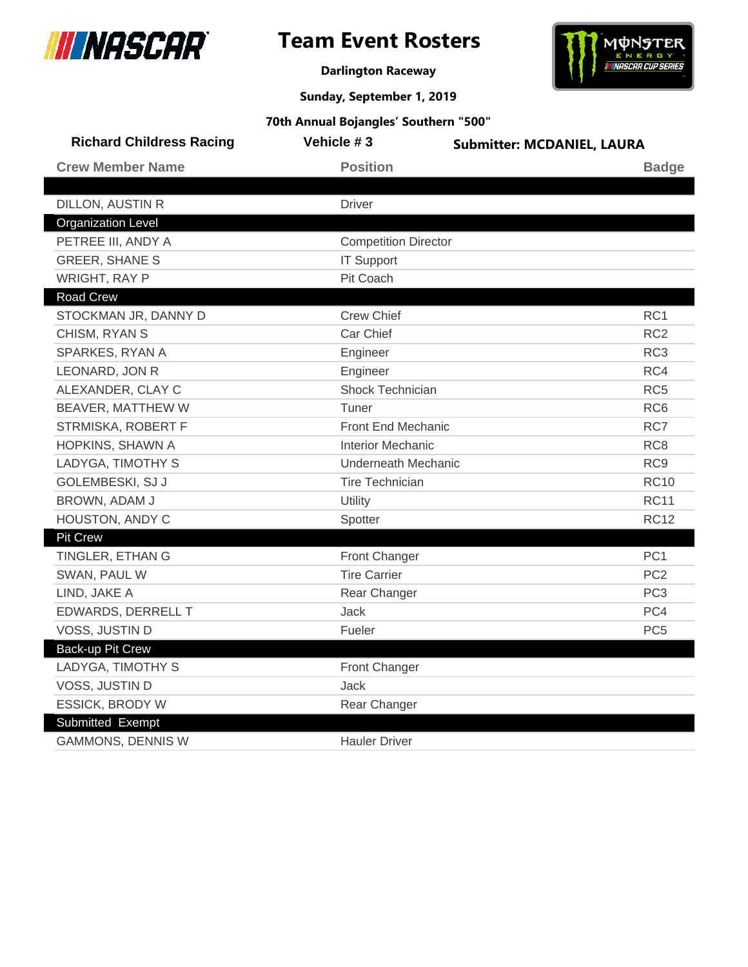

# **Team Event Rosters**



**Darlington Raceway**

**Sunday, September 1, 2019**

| <b>Richard Childress Racing</b> | Vehicle #3                  | <b>Submitter: MCDANIEL, LAURA</b> |
|---------------------------------|-----------------------------|-----------------------------------|
| <b>Crew Member Name</b>         | <b>Position</b>             | <b>Badge</b>                      |
|                                 |                             |                                   |
| DILLON, AUSTIN R                | <b>Driver</b>               |                                   |
| <b>Organization Level</b>       |                             |                                   |
| PETREE III, ANDY A              | <b>Competition Director</b> |                                   |
| <b>GREER, SHANE S</b>           | <b>IT Support</b>           |                                   |
| <b>WRIGHT, RAY P</b>            | Pit Coach                   |                                   |
| <b>Road Crew</b>                |                             |                                   |
| STOCKMAN JR, DANNY D            | <b>Crew Chief</b>           | RC1                               |
| CHISM, RYAN S                   | Car Chief                   | RC <sub>2</sub>                   |
| SPARKES, RYAN A                 | Engineer                    | RC <sub>3</sub>                   |
| LEONARD, JON R                  | Engineer                    | RC4                               |
| ALEXANDER, CLAY C               | Shock Technician            | RC <sub>5</sub>                   |
| BEAVER, MATTHEW W               | Tuner                       | RC <sub>6</sub>                   |
| STRMISKA, ROBERT F              | <b>Front End Mechanic</b>   | RC7                               |
| HOPKINS, SHAWN A                | <b>Interior Mechanic</b>    | RC <sub>8</sub>                   |
| LADYGA, TIMOTHY S               | <b>Underneath Mechanic</b>  | RC <sub>9</sub>                   |
| GOLEMBESKI, SJ J                | <b>Tire Technician</b>      | <b>RC10</b>                       |
| BROWN, ADAM J                   | Utility                     | <b>RC11</b>                       |
| HOUSTON, ANDY C                 | Spotter                     | <b>RC12</b>                       |
| <b>Pit Crew</b>                 |                             |                                   |
| TINGLER, ETHAN G                | Front Changer               | PC <sub>1</sub>                   |
| SWAN, PAUL W                    | <b>Tire Carrier</b>         | PC <sub>2</sub>                   |
| LIND, JAKE A                    | Rear Changer                | PC <sub>3</sub>                   |
| EDWARDS, DERRELL T              | <b>Jack</b>                 | PC4                               |
| VOSS, JUSTIN D                  | Fueler                      | PC <sub>5</sub>                   |
| <b>Back-up Pit Crew</b>         |                             |                                   |
| LADYGA, TIMOTHY S               | Front Changer               |                                   |
| VOSS, JUSTIN D                  | Jack                        |                                   |
| <b>ESSICK, BRODY W</b>          | Rear Changer                |                                   |
| Submitted Exempt                |                             |                                   |
| <b>GAMMONS, DENNIS W</b>        | <b>Hauler Driver</b>        |                                   |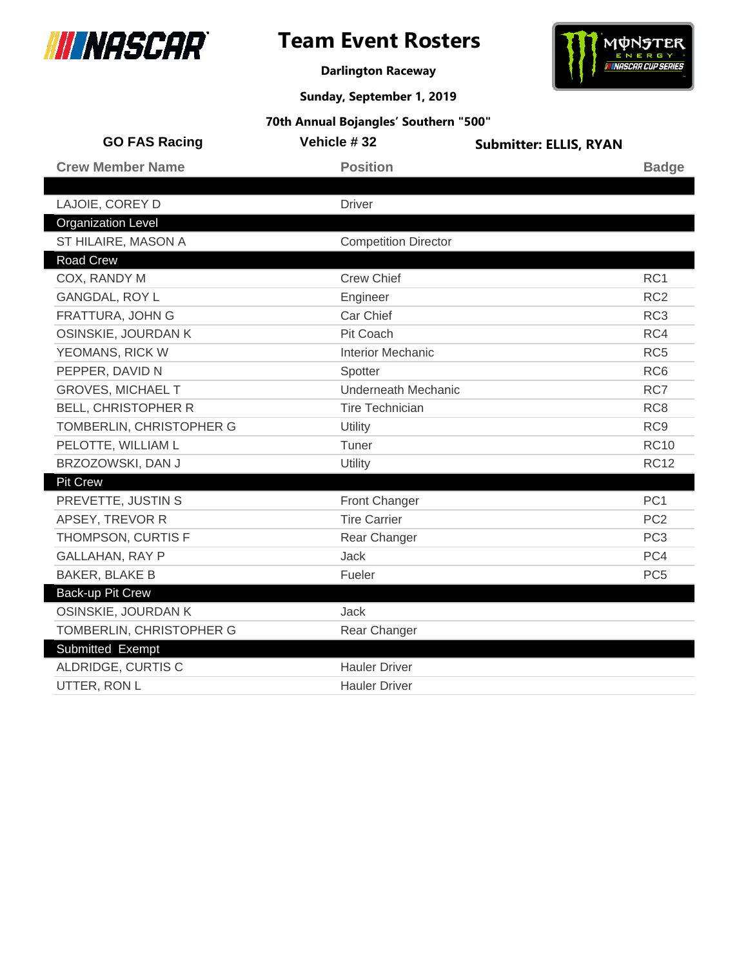



**Darlington Raceway**

**Sunday, September 1, 2019**

| <b>GO FAS Racing</b>       | Vehicle #32                 | <b>Submitter: ELLIS, RYAN</b> |                 |
|----------------------------|-----------------------------|-------------------------------|-----------------|
| <b>Crew Member Name</b>    | <b>Position</b>             |                               | <b>Badge</b>    |
|                            |                             |                               |                 |
| LAJOIE, COREY D            | <b>Driver</b>               |                               |                 |
| <b>Organization Level</b>  |                             |                               |                 |
| ST HILAIRE, MASON A        | <b>Competition Director</b> |                               |                 |
| Road Crew                  |                             |                               |                 |
| COX, RANDY M               | <b>Crew Chief</b>           |                               | RC <sub>1</sub> |
| <b>GANGDAL, ROY L</b>      | Engineer                    |                               | RC <sub>2</sub> |
| FRATTURA, JOHN G           | Car Chief                   |                               | RC <sub>3</sub> |
| OSINSKIE, JOURDAN K        | Pit Coach                   |                               | RC4             |
| YEOMANS, RICK W            | <b>Interior Mechanic</b>    |                               | RC <sub>5</sub> |
| PEPPER, DAVID N            | Spotter                     |                               | RC <sub>6</sub> |
| <b>GROVES, MICHAEL T</b>   | <b>Underneath Mechanic</b>  |                               | RC7             |
| <b>BELL, CHRISTOPHER R</b> | <b>Tire Technician</b>      |                               | RC <sub>8</sub> |
| TOMBERLIN, CHRISTOPHER G   | Utility                     |                               | RC <sub>9</sub> |
| PELOTTE, WILLIAM L         | Tuner                       |                               | <b>RC10</b>     |
| BRZOZOWSKI, DAN J          | Utility                     |                               | <b>RC12</b>     |
| <b>Pit Crew</b>            |                             |                               |                 |
| PREVETTE, JUSTIN S         | <b>Front Changer</b>        |                               | PC <sub>1</sub> |
| APSEY, TREVOR R            | <b>Tire Carrier</b>         |                               | PC <sub>2</sub> |
| THOMPSON, CURTIS F         | Rear Changer                |                               | PC <sub>3</sub> |
| <b>GALLAHAN, RAY P</b>     | <b>Jack</b>                 |                               | PC4             |
| <b>BAKER, BLAKE B</b>      | Fueler                      |                               | PC <sub>5</sub> |
| Back-up Pit Crew           |                             |                               |                 |
| OSINSKIE, JOURDAN K        | <b>Jack</b>                 |                               |                 |
| TOMBERLIN, CHRISTOPHER G   | Rear Changer                |                               |                 |
| Submitted Exempt           |                             |                               |                 |
| ALDRIDGE, CURTIS C         | <b>Hauler Driver</b>        |                               |                 |
| UTTER, RON L               | <b>Hauler Driver</b>        |                               |                 |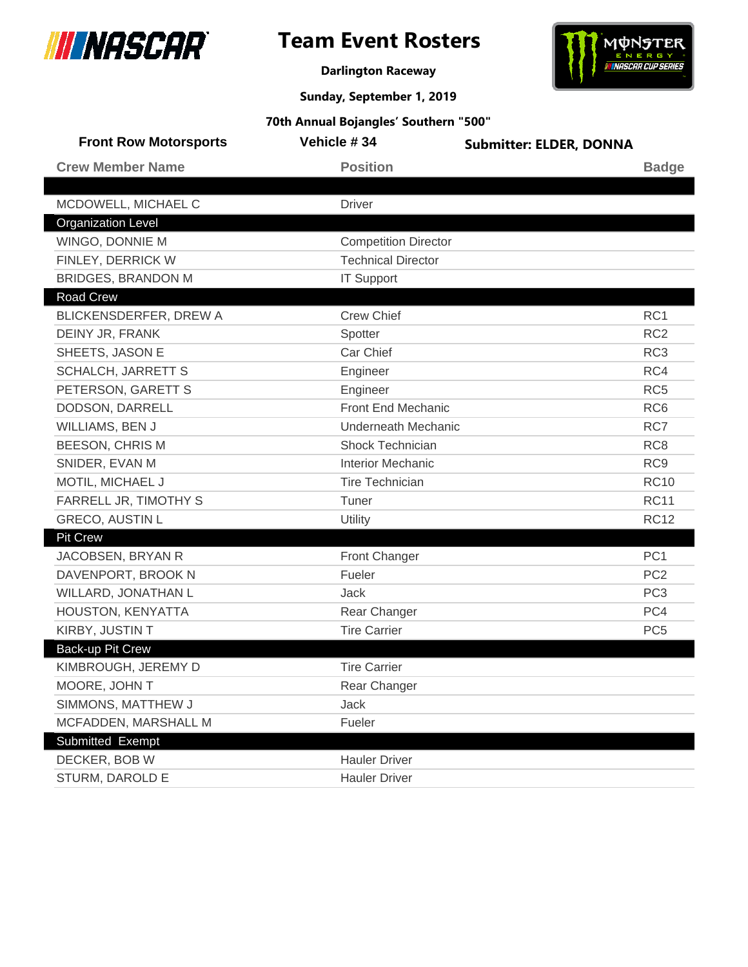



**Darlington Raceway**

**Sunday, September 1, 2019**

| <b>Front Row Motorsports</b> | Vehicle #34                 | <b>Submitter: ELDER, DONNA</b> |                 |
|------------------------------|-----------------------------|--------------------------------|-----------------|
| <b>Crew Member Name</b>      | <b>Position</b>             |                                | <b>Badge</b>    |
|                              |                             |                                |                 |
| MCDOWELL, MICHAEL C          | <b>Driver</b>               |                                |                 |
| <b>Organization Level</b>    |                             |                                |                 |
| WINGO, DONNIE M              | <b>Competition Director</b> |                                |                 |
| FINLEY, DERRICK W            | <b>Technical Director</b>   |                                |                 |
| <b>BRIDGES, BRANDON M</b>    | <b>IT Support</b>           |                                |                 |
| <b>Road Crew</b>             |                             |                                |                 |
| BLICKENSDERFER, DREW A       | <b>Crew Chief</b>           |                                | RC1             |
| DEINY JR, FRANK              | Spotter                     |                                | RC <sub>2</sub> |
| SHEETS, JASON E              | Car Chief                   |                                | RC <sub>3</sub> |
| <b>SCHALCH, JARRETT S</b>    | Engineer                    |                                | RC4             |
| PETERSON, GARETT S           | Engineer                    |                                | RC <sub>5</sub> |
| DODSON, DARRELL              | Front End Mechanic          |                                | RC <sub>6</sub> |
| WILLIAMS, BEN J              | <b>Underneath Mechanic</b>  |                                | RC7             |
| <b>BEESON, CHRIS M</b>       | Shock Technician            |                                | RC <sub>8</sub> |
| SNIDER, EVAN M               | <b>Interior Mechanic</b>    |                                | RC <sub>9</sub> |
| MOTIL, MICHAEL J             | <b>Tire Technician</b>      |                                | <b>RC10</b>     |
| FARRELL JR, TIMOTHY S        | Tuner                       |                                | <b>RC11</b>     |
| <b>GRECO, AUSTIN L</b>       | Utility                     |                                | <b>RC12</b>     |
| <b>Pit Crew</b>              |                             |                                |                 |
| JACOBSEN, BRYAN R            | <b>Front Changer</b>        |                                | PC <sub>1</sub> |
| DAVENPORT, BROOK N           | Fueler                      |                                | PC <sub>2</sub> |
| WILLARD, JONATHAN L          | Jack                        |                                | PC <sub>3</sub> |
| HOUSTON, KENYATTA            | Rear Changer                |                                | PC4             |
| KIRBY, JUSTIN T              | <b>Tire Carrier</b>         |                                | PC <sub>5</sub> |
| Back-up Pit Crew             |                             |                                |                 |
| KIMBROUGH, JEREMY D          | <b>Tire Carrier</b>         |                                |                 |
| MOORE, JOHN T                | Rear Changer                |                                |                 |
| SIMMONS, MATTHEW J           | <b>Jack</b>                 |                                |                 |
| MCFADDEN, MARSHALL M         | Fueler                      |                                |                 |
| Submitted Exempt             |                             |                                |                 |
| DECKER, BOB W                | <b>Hauler Driver</b>        |                                |                 |
| STURM, DAROLD E              | <b>Hauler Driver</b>        |                                |                 |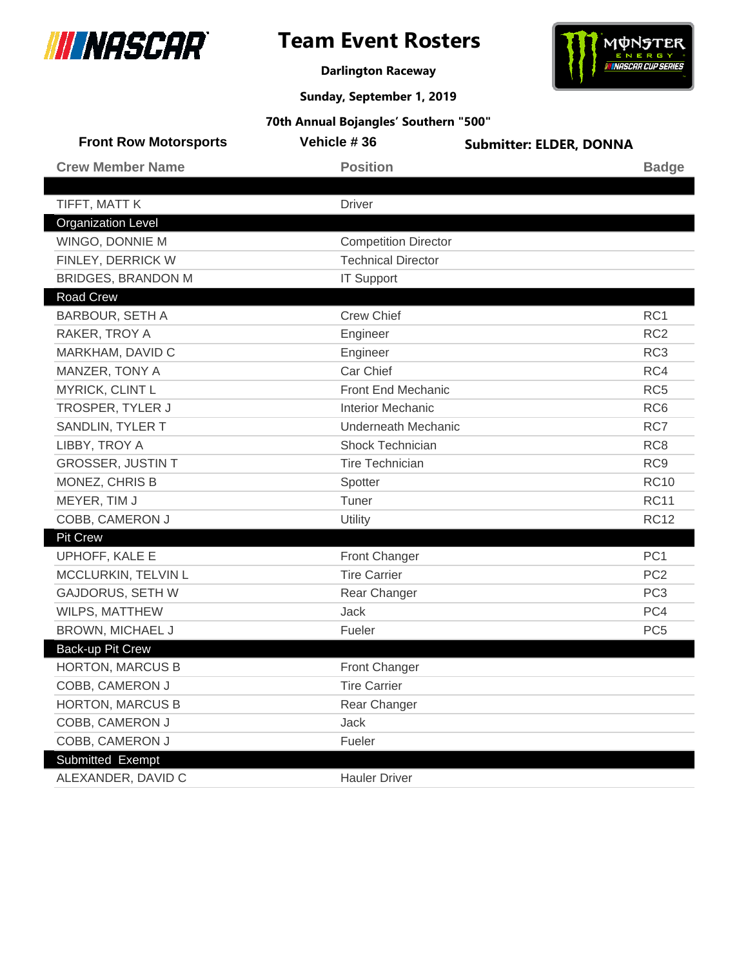

# **Team Event Rosters**



**Darlington Raceway**

**Sunday, September 1, 2019**

| <b>Front Row Motorsports</b> | Vehicle #36                 | <b>Submitter: ELDER, DONNA</b> |
|------------------------------|-----------------------------|--------------------------------|
| <b>Crew Member Name</b>      | <b>Position</b>             | <b>Badge</b>                   |
|                              |                             |                                |
| TIFFT, MATT K                | <b>Driver</b>               |                                |
| <b>Organization Level</b>    |                             |                                |
| WINGO, DONNIE M              | <b>Competition Director</b> |                                |
| FINLEY, DERRICK W            | <b>Technical Director</b>   |                                |
| <b>BRIDGES, BRANDON M</b>    | <b>IT Support</b>           |                                |
| Road Crew                    |                             |                                |
| <b>BARBOUR, SETH A</b>       | <b>Crew Chief</b>           | RC <sub>1</sub>                |
| RAKER, TROY A                | Engineer                    | RC <sub>2</sub>                |
| MARKHAM, DAVID C             | Engineer                    | RC <sub>3</sub>                |
| MANZER, TONY A               | Car Chief                   | RC4                            |
| MYRICK, CLINT L              | <b>Front End Mechanic</b>   | RC <sub>5</sub>                |
| TROSPER, TYLER J             | <b>Interior Mechanic</b>    | RC <sub>6</sub>                |
| SANDLIN, TYLER T             | <b>Underneath Mechanic</b>  | RC7                            |
| LIBBY, TROY A                | <b>Shock Technician</b>     | RC <sub>8</sub>                |
| <b>GROSSER, JUSTIN T</b>     | <b>Tire Technician</b>      | RC <sub>9</sub>                |
| MONEZ, CHRIS B               | Spotter                     | <b>RC10</b>                    |
| MEYER, TIM J                 | Tuner                       | <b>RC11</b>                    |
| COBB, CAMERON J              | Utility                     | <b>RC12</b>                    |
| <b>Pit Crew</b>              |                             |                                |
| UPHOFF, KALE E               | <b>Front Changer</b>        | PC <sub>1</sub>                |
| MCCLURKIN, TELVIN L          | <b>Tire Carrier</b>         | PC <sub>2</sub>                |
| <b>GAJDORUS, SETH W</b>      | Rear Changer                | PC <sub>3</sub>                |
| WILPS, MATTHEW               | <b>Jack</b>                 | PC4                            |
| BROWN, MICHAEL J             | Fueler                      | PC <sub>5</sub>                |
| <b>Back-up Pit Crew</b>      |                             |                                |
| <b>HORTON, MARCUS B</b>      | Front Changer               |                                |
| COBB, CAMERON J              | <b>Tire Carrier</b>         |                                |
| <b>HORTON, MARCUS B</b>      | Rear Changer                |                                |
| COBB, CAMERON J              | Jack                        |                                |
| COBB, CAMERON J              | Fueler                      |                                |
| Submitted Exempt             |                             |                                |
| ALEXANDER, DAVID C           | <b>Hauler Driver</b>        |                                |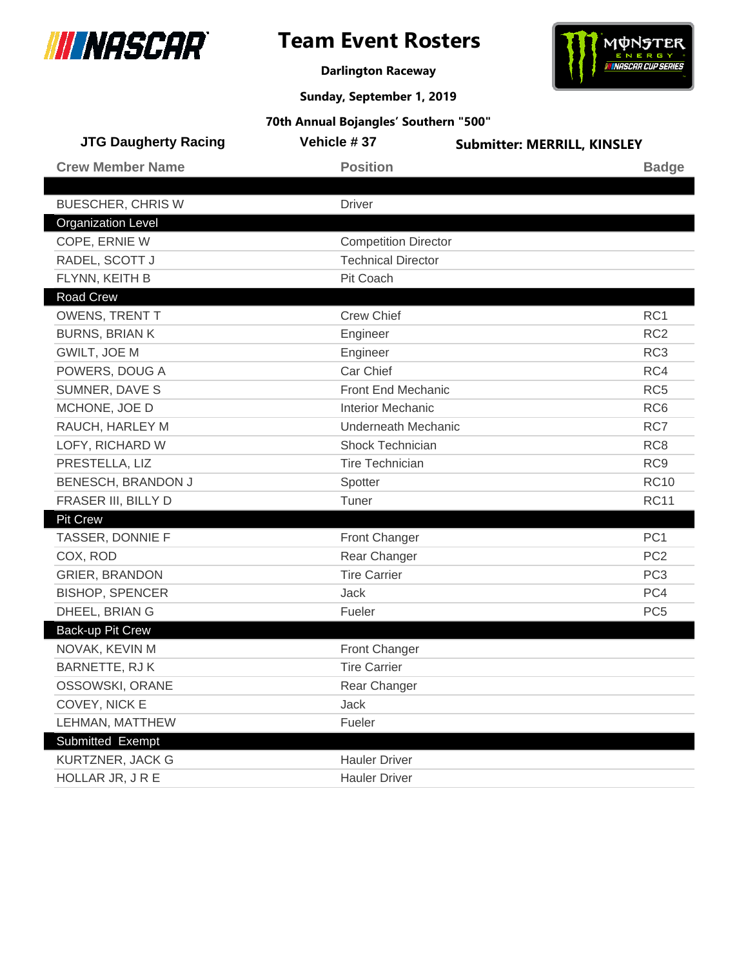



**Darlington Raceway**

**Sunday, September 1, 2019**

| <b>JTG Daugherty Racing</b> | Vehicle #37                 | <b>Submitter: MERRILL, KINSLEY</b> |
|-----------------------------|-----------------------------|------------------------------------|
| <b>Crew Member Name</b>     | <b>Position</b>             | <b>Badge</b>                       |
| <b>BUESCHER, CHRIS W</b>    | <b>Driver</b>               |                                    |
| <b>Organization Level</b>   |                             |                                    |
| COPE, ERNIE W               | <b>Competition Director</b> |                                    |
| RADEL, SCOTT J              | <b>Technical Director</b>   |                                    |
| FLYNN, KEITH B              | Pit Coach                   |                                    |
| <b>Road Crew</b>            |                             |                                    |
| <b>OWENS, TRENT T</b>       | <b>Crew Chief</b>           | RC <sub>1</sub>                    |
| <b>BURNS, BRIAN K</b>       | Engineer                    | RC <sub>2</sub>                    |
| GWILT, JOE M                | Engineer                    | RC <sub>3</sub>                    |
| POWERS, DOUG A              | Car Chief                   | RC4                                |
| SUMNER, DAVE S              | Front End Mechanic          | RC <sub>5</sub>                    |
| MCHONE, JOE D               | <b>Interior Mechanic</b>    | RC <sub>6</sub>                    |
| RAUCH, HARLEY M             | <b>Underneath Mechanic</b>  | RC7                                |
| LOFY, RICHARD W             | Shock Technician            | RC <sub>8</sub>                    |
| PRESTELLA, LIZ              | <b>Tire Technician</b>      | RC <sub>9</sub>                    |
| BENESCH, BRANDON J          | Spotter                     | <b>RC10</b>                        |
| FRASER III, BILLY D         | Tuner                       | <b>RC11</b>                        |
| <b>Pit Crew</b>             |                             |                                    |
| TASSER, DONNIE F            | Front Changer               | PC <sub>1</sub>                    |
| COX, ROD                    | Rear Changer                | PC <sub>2</sub>                    |
| <b>GRIER, BRANDON</b>       | <b>Tire Carrier</b>         | PC <sub>3</sub>                    |
| <b>BISHOP, SPENCER</b>      | Jack                        | PC4                                |
| DHEEL, BRIAN G              | Fueler                      | PC <sub>5</sub>                    |
| <b>Back-up Pit Crew</b>     |                             |                                    |
| NOVAK, KEVIN M              | Front Changer               |                                    |
| <b>BARNETTE, RJK</b>        | <b>Tire Carrier</b>         |                                    |
| OSSOWSKI, ORANE             | Rear Changer                |                                    |
| COVEY, NICK E               | Jack                        |                                    |
| LEHMAN, MATTHEW             | Fueler                      |                                    |
| Submitted Exempt            |                             |                                    |
| KURTZNER, JACK G            | <b>Hauler Driver</b>        |                                    |
| HOLLAR JR, JRE              | <b>Hauler Driver</b>        |                                    |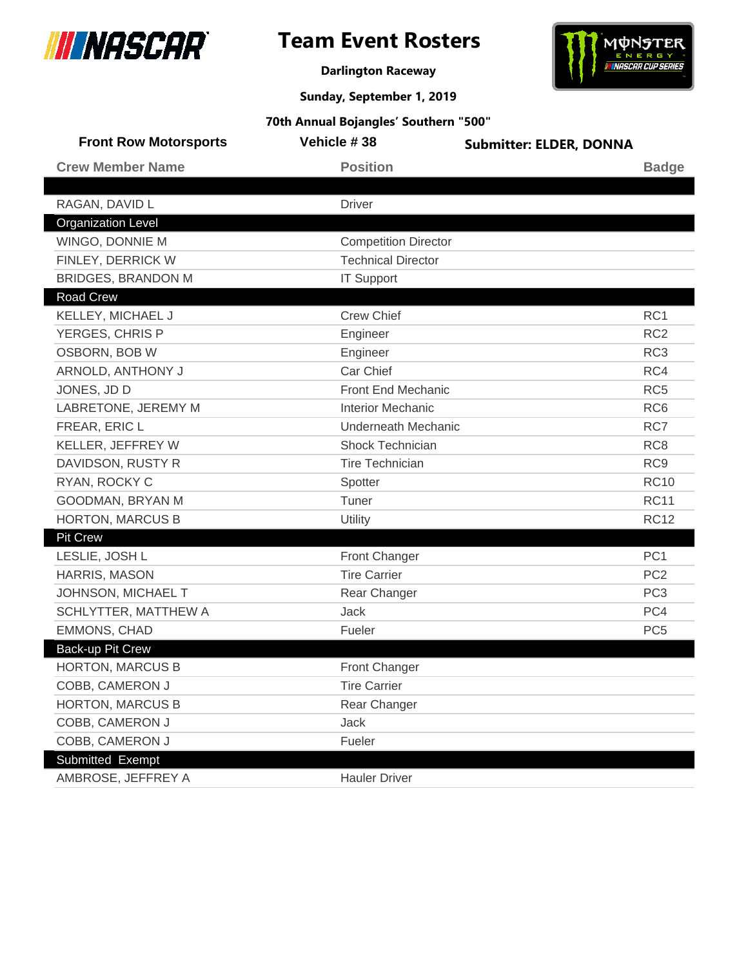

# **Team Event Rosters**



**Darlington Raceway**

**Sunday, September 1, 2019**

| <b>Front Row Motorsports</b> | Vehicle #38                 | <b>Submitter: ELDER, DONNA</b> |
|------------------------------|-----------------------------|--------------------------------|
| <b>Crew Member Name</b>      | <b>Position</b>             | <b>Badge</b>                   |
|                              |                             |                                |
| RAGAN, DAVID L               | <b>Driver</b>               |                                |
| <b>Organization Level</b>    |                             |                                |
| WINGO, DONNIE M              | <b>Competition Director</b> |                                |
| FINLEY, DERRICK W            | <b>Technical Director</b>   |                                |
| <b>BRIDGES, BRANDON M</b>    | <b>IT Support</b>           |                                |
| Road Crew                    |                             |                                |
| KELLEY, MICHAEL J            | <b>Crew Chief</b>           | RC <sub>1</sub>                |
| YERGES, CHRIS P              | Engineer                    | RC <sub>2</sub>                |
| OSBORN, BOB W                | Engineer                    | RC <sub>3</sub>                |
| ARNOLD, ANTHONY J            | Car Chief                   | RC4                            |
| JONES, JD D                  | <b>Front End Mechanic</b>   | RC <sub>5</sub>                |
| LABRETONE, JEREMY M          | <b>Interior Mechanic</b>    | RC <sub>6</sub>                |
| FREAR, ERIC L                | <b>Underneath Mechanic</b>  | RC7                            |
| KELLER, JEFFREY W            | Shock Technician            | RC <sub>8</sub>                |
| DAVIDSON, RUSTY R            | <b>Tire Technician</b>      | RC <sub>9</sub>                |
| RYAN, ROCKY C                | Spotter                     | <b>RC10</b>                    |
| GOODMAN, BRYAN M             | Tuner                       | <b>RC11</b>                    |
| <b>HORTON, MARCUS B</b>      | Utility                     | <b>RC12</b>                    |
| <b>Pit Crew</b>              |                             |                                |
| LESLIE, JOSH L               | Front Changer               | PC <sub>1</sub>                |
| HARRIS, MASON                | <b>Tire Carrier</b>         | PC <sub>2</sub>                |
| JOHNSON, MICHAEL T           | Rear Changer                | PC <sub>3</sub>                |
| SCHLYTTER, MATTHEW A         | <b>Jack</b>                 | PC4                            |
| EMMONS, CHAD                 | Fueler                      | PC <sub>5</sub>                |
| Back-up Pit Crew             |                             |                                |
| <b>HORTON, MARCUS B</b>      | Front Changer               |                                |
| COBB, CAMERON J              | <b>Tire Carrier</b>         |                                |
| <b>HORTON, MARCUS B</b>      | Rear Changer                |                                |
| COBB, CAMERON J              | Jack                        |                                |
| COBB, CAMERON J              | Fueler                      |                                |
| Submitted Exempt             |                             |                                |
| AMBROSE, JEFFREY A           | <b>Hauler Driver</b>        |                                |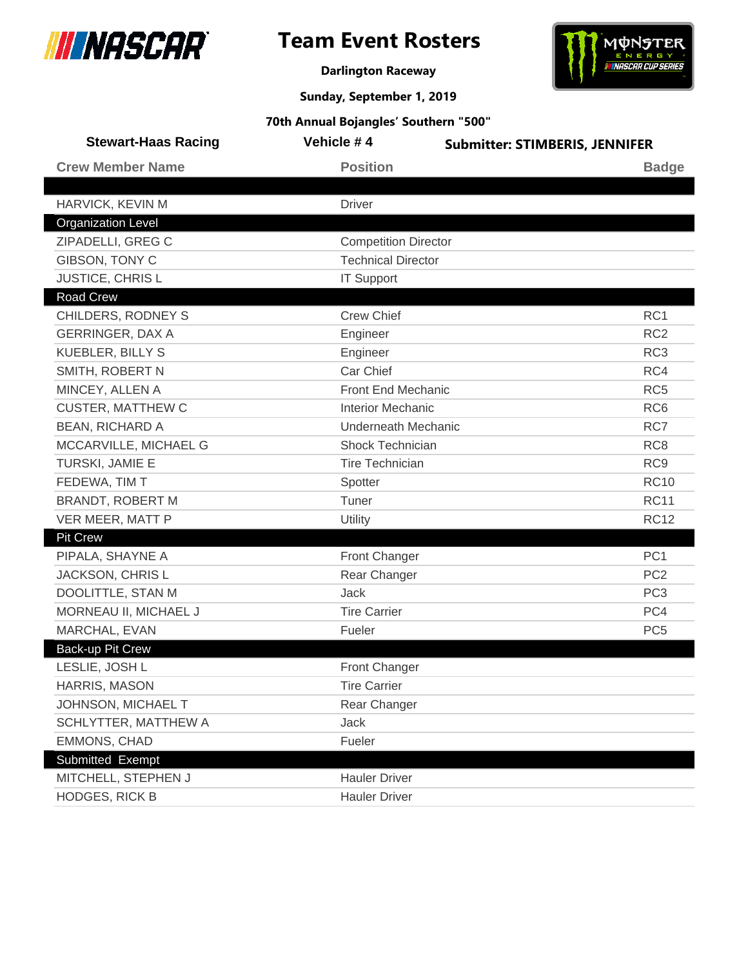



**Darlington Raceway**

**Sunday, September 1, 2019**

| <b>Stewart-Haas Racing</b> | Vehicle #4                  | <b>Submitter: STIMBERIS, JENNIFER</b> |
|----------------------------|-----------------------------|---------------------------------------|
| <b>Crew Member Name</b>    | <b>Position</b>             | <b>Badge</b>                          |
|                            |                             |                                       |
| HARVICK, KEVIN M           | <b>Driver</b>               |                                       |
| <b>Organization Level</b>  |                             |                                       |
| ZIPADELLI, GREG C          | <b>Competition Director</b> |                                       |
| GIBSON, TONY C             | <b>Technical Director</b>   |                                       |
| <b>JUSTICE, CHRISL</b>     | <b>IT Support</b>           |                                       |
| <b>Road Crew</b>           |                             |                                       |
| CHILDERS, RODNEY S         | <b>Crew Chief</b>           | RC1                                   |
| <b>GERRINGER, DAX A</b>    | Engineer                    | RC <sub>2</sub>                       |
| <b>KUEBLER, BILLY S</b>    | Engineer                    | RC <sub>3</sub>                       |
| SMITH, ROBERT N            | Car Chief                   | RC4                                   |
| MINCEY, ALLEN A            | <b>Front End Mechanic</b>   | RC <sub>5</sub>                       |
| <b>CUSTER, MATTHEW C</b>   | <b>Interior Mechanic</b>    | RC <sub>6</sub>                       |
| <b>BEAN, RICHARD A</b>     | <b>Underneath Mechanic</b>  | RC7                                   |
| MCCARVILLE, MICHAEL G      | <b>Shock Technician</b>     | RC <sub>8</sub>                       |
| TURSKI, JAMIE E            | <b>Tire Technician</b>      | RC <sub>9</sub>                       |
| FEDEWA, TIM T              | Spotter                     | <b>RC10</b>                           |
| <b>BRANDT, ROBERT M</b>    | Tuner                       | <b>RC11</b>                           |
| VER MEER, MATT P           | Utility                     | <b>RC12</b>                           |
| <b>Pit Crew</b>            |                             |                                       |
| PIPALA, SHAYNE A           | Front Changer               | PC <sub>1</sub>                       |
| JACKSON, CHRIS L           | Rear Changer                | PC <sub>2</sub>                       |
| DOOLITTLE, STAN M          | <b>Jack</b>                 | PC <sub>3</sub>                       |
| MORNEAU II, MICHAEL J      | <b>Tire Carrier</b>         | PC4                                   |
| MARCHAL, EVAN              | Fueler                      | PC <sub>5</sub>                       |
| Back-up Pit Crew           |                             |                                       |
| LESLIE, JOSH L             | <b>Front Changer</b>        |                                       |
| HARRIS, MASON              | <b>Tire Carrier</b>         |                                       |
| JOHNSON, MICHAEL T         | Rear Changer                |                                       |
| SCHLYTTER, MATTHEW A       | Jack                        |                                       |
| EMMONS, CHAD               | Fueler                      |                                       |
| Submitted Exempt           |                             |                                       |
| MITCHELL, STEPHEN J        | <b>Hauler Driver</b>        |                                       |
| <b>HODGES, RICK B</b>      | <b>Hauler Driver</b>        |                                       |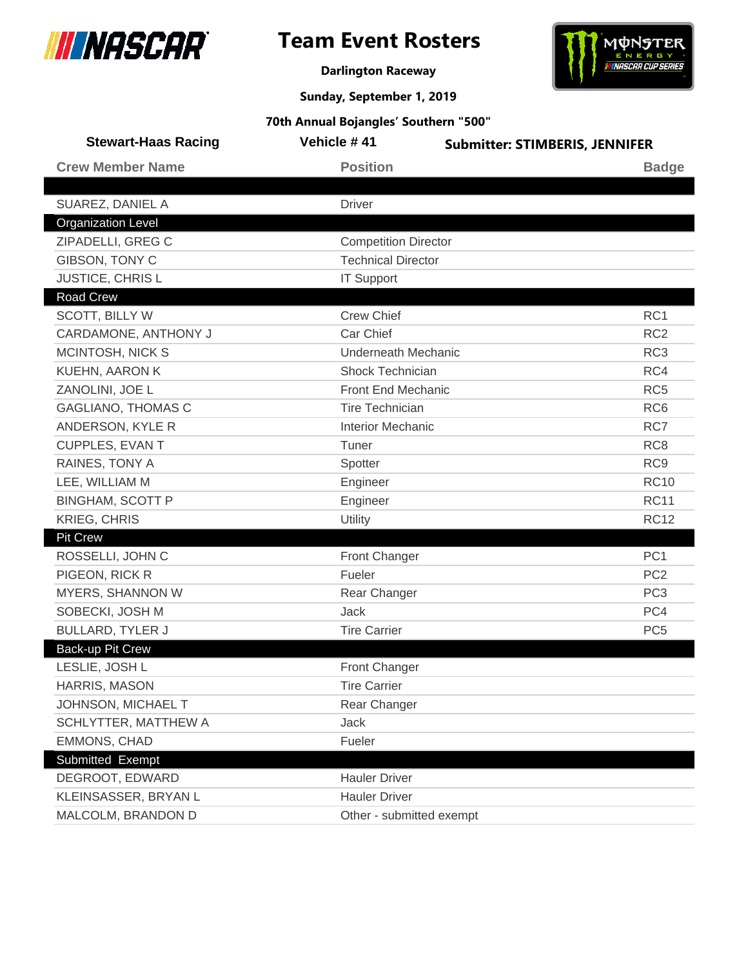

 $\overline{\phantom{a}}$ 

# **Team Event Rosters**



**Darlington Raceway**

**Sunday, September 1, 2019**

| <b>Stewart-Haas Racing</b> | Vehicle #41                 | <b>Submitter: STIMBERIS, JENNIFER</b> |
|----------------------------|-----------------------------|---------------------------------------|
| <b>Crew Member Name</b>    | <b>Position</b>             | <b>Badge</b>                          |
|                            |                             |                                       |
| SUAREZ, DANIEL A           | <b>Driver</b>               |                                       |
| <b>Organization Level</b>  |                             |                                       |
| ZIPADELLI, GREG C          | <b>Competition Director</b> |                                       |
| GIBSON, TONY C             | <b>Technical Director</b>   |                                       |
| JUSTICE, CHRIS L           | <b>IT Support</b>           |                                       |
| <b>Road Crew</b>           |                             |                                       |
| SCOTT, BILLY W             | <b>Crew Chief</b>           | RC1                                   |
| CARDAMONE, ANTHONY J       | Car Chief                   | RC <sub>2</sub>                       |
| MCINTOSH, NICK S           | <b>Underneath Mechanic</b>  | RC <sub>3</sub>                       |
| KUEHN, AARON K             | Shock Technician            | RC4                                   |
| ZANOLINI, JOE L            | Front End Mechanic          | RC <sub>5</sub>                       |
| <b>GAGLIANO, THOMAS C</b>  | <b>Tire Technician</b>      | RC <sub>6</sub>                       |
| ANDERSON, KYLE R           | <b>Interior Mechanic</b>    | RC7                                   |
| <b>CUPPLES, EVAN T</b>     | Tuner                       | RC <sub>8</sub>                       |
| RAINES, TONY A             | Spotter                     | RC <sub>9</sub>                       |
| LEE, WILLIAM M             | Engineer                    | <b>RC10</b>                           |
| <b>BINGHAM, SCOTT P</b>    | Engineer                    | <b>RC11</b>                           |
| <b>KRIEG, CHRIS</b>        | Utility                     | <b>RC12</b>                           |
| <b>Pit Crew</b>            |                             |                                       |
| ROSSELLI, JOHN C           | Front Changer               | PC <sub>1</sub>                       |
| PIGEON, RICK R             | Fueler                      | PC <sub>2</sub>                       |
| MYERS, SHANNON W           | Rear Changer                | PC <sub>3</sub>                       |
| SOBECKI, JOSH M            | <b>Jack</b>                 | PC4                                   |
| <b>BULLARD, TYLER J</b>    | <b>Tire Carrier</b>         | PC <sub>5</sub>                       |
| Back-up Pit Crew           |                             |                                       |
| LESLIE, JOSH L             | Front Changer               |                                       |
| HARRIS, MASON              | <b>Tire Carrier</b>         |                                       |
| JOHNSON, MICHAEL T         | Rear Changer                |                                       |
| SCHLYTTER, MATTHEW A       | Jack                        |                                       |
| <b>EMMONS, CHAD</b>        | Fueler                      |                                       |
| Submitted Exempt           |                             |                                       |
| DEGROOT, EDWARD            | <b>Hauler Driver</b>        |                                       |
| KLEINSASSER, BRYAN L       | <b>Hauler Driver</b>        |                                       |
| MALCOLM, BRANDON D         | Other - submitted exempt    |                                       |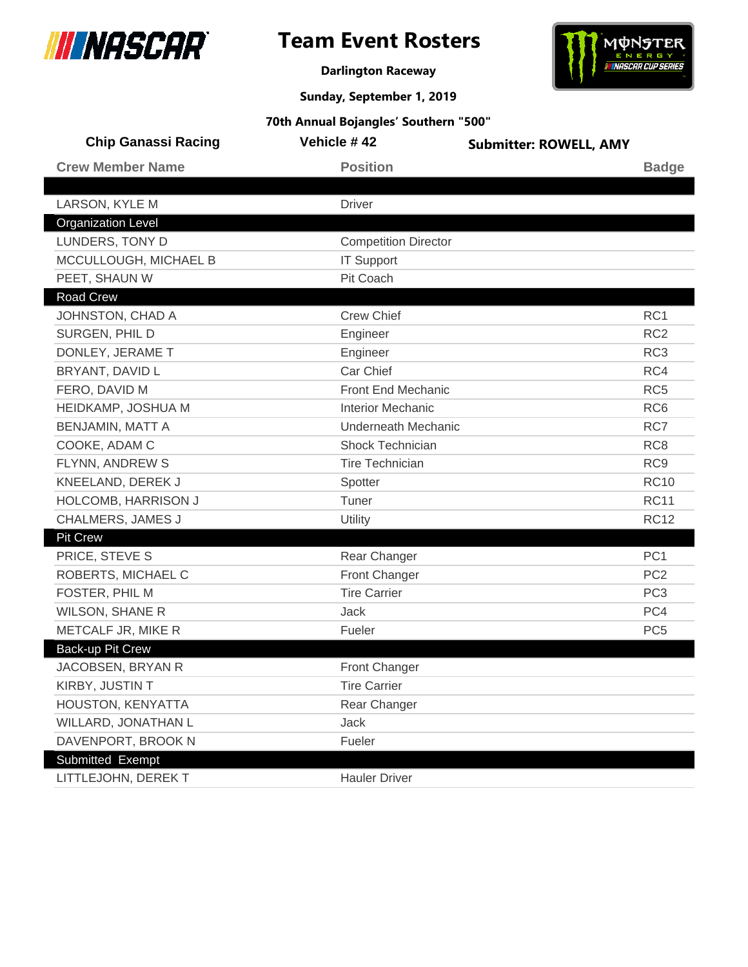

 $\overline{\phantom{a}}$ 

# **Team Event Rosters**



**Darlington Raceway**

**Sunday, September 1, 2019**

| <b>Chip Ganassi Racing</b> | Vehicle #42                 | <b>Submitter: ROWELL, AMY</b> |                 |
|----------------------------|-----------------------------|-------------------------------|-----------------|
| <b>Crew Member Name</b>    | <b>Position</b>             |                               | <b>Badge</b>    |
| LARSON, KYLE M             | <b>Driver</b>               |                               |                 |
| <b>Organization Level</b>  |                             |                               |                 |
| LUNDERS, TONY D            | <b>Competition Director</b> |                               |                 |
| MCCULLOUGH, MICHAEL B      | <b>IT Support</b>           |                               |                 |
| PEET, SHAUN W              | Pit Coach                   |                               |                 |
| <b>Road Crew</b>           |                             |                               |                 |
| JOHNSTON, CHAD A           | <b>Crew Chief</b>           |                               | RC <sub>1</sub> |
| SURGEN, PHIL D             | Engineer                    |                               | RC <sub>2</sub> |
| DONLEY, JERAME T           | Engineer                    |                               | RC <sub>3</sub> |
| BRYANT, DAVID L            | Car Chief                   |                               | RC4             |
| FERO, DAVID M              | Front End Mechanic          |                               | RC <sub>5</sub> |
| HEIDKAMP, JOSHUA M         | <b>Interior Mechanic</b>    |                               | RC <sub>6</sub> |
| <b>BENJAMIN, MATT A</b>    | <b>Underneath Mechanic</b>  |                               | RC7             |
| COOKE, ADAM C              | <b>Shock Technician</b>     |                               | RC <sub>8</sub> |
| FLYNN, ANDREW S            | <b>Tire Technician</b>      |                               | RC <sub>9</sub> |
| KNEELAND, DEREK J          | Spotter                     |                               | <b>RC10</b>     |
| HOLCOMB, HARRISON J        | Tuner                       |                               | <b>RC11</b>     |
| CHALMERS, JAMES J          | Utility                     |                               | <b>RC12</b>     |
| <b>Pit Crew</b>            |                             |                               |                 |
| PRICE, STEVE S             | Rear Changer                |                               | PC <sub>1</sub> |
| ROBERTS, MICHAEL C         | Front Changer               |                               | PC <sub>2</sub> |
| FOSTER, PHIL M             | <b>Tire Carrier</b>         |                               | PC <sub>3</sub> |
| <b>WILSON, SHANE R</b>     | <b>Jack</b>                 |                               | PC4             |
| METCALF JR, MIKE R         | Fueler                      |                               | PC <sub>5</sub> |
| Back-up Pit Crew           |                             |                               |                 |
| JACOBSEN, BRYAN R          | <b>Front Changer</b>        |                               |                 |
| KIRBY, JUSTIN T            | <b>Tire Carrier</b>         |                               |                 |
| HOUSTON, KENYATTA          | Rear Changer                |                               |                 |
| WILLARD, JONATHAN L        | Jack                        |                               |                 |
| DAVENPORT, BROOK N         | Fueler                      |                               |                 |
| Submitted Exempt           |                             |                               |                 |
| LITTLEJOHN, DEREK T        | <b>Hauler Driver</b>        |                               |                 |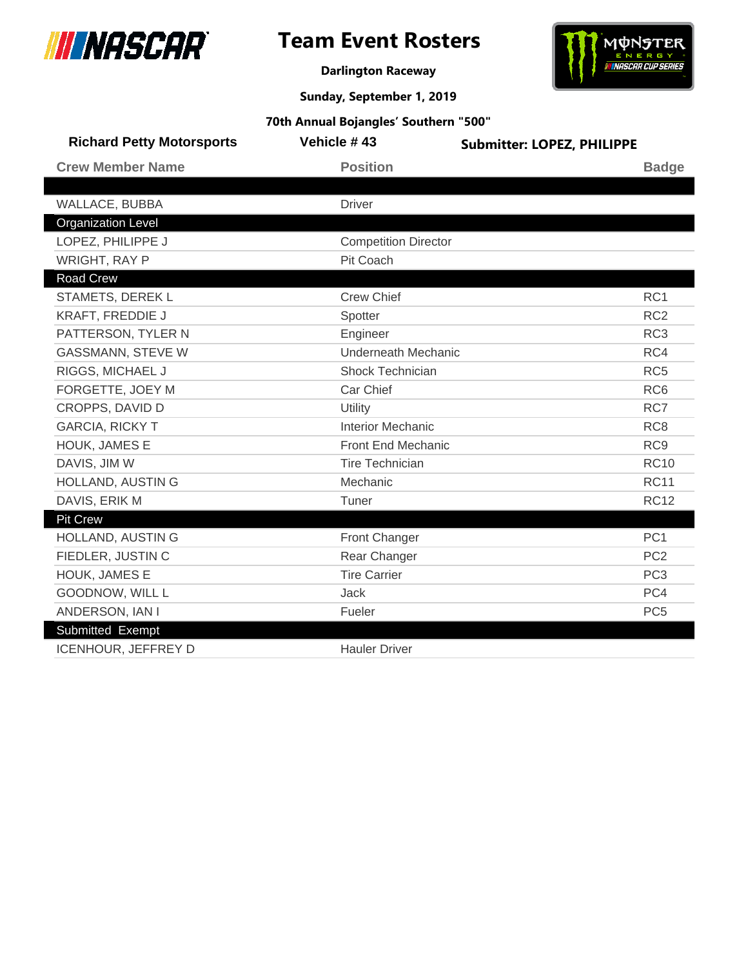



**Darlington Raceway**

**Sunday, September 1, 2019**

| <b>Richard Petty Motorsports</b> | Vehicle #43                 | <b>Submitter: LOPEZ, PHILIPPE</b> |
|----------------------------------|-----------------------------|-----------------------------------|
| <b>Crew Member Name</b>          | <b>Position</b>             | <b>Badge</b>                      |
|                                  |                             |                                   |
| WALLACE, BUBBA                   | <b>Driver</b>               |                                   |
| <b>Organization Level</b>        |                             |                                   |
| LOPEZ, PHILIPPE J                | <b>Competition Director</b> |                                   |
| WRIGHT, RAY P                    | Pit Coach                   |                                   |
| <b>Road Crew</b>                 |                             |                                   |
| STAMETS, DEREK L                 | <b>Crew Chief</b>           | RC <sub>1</sub>                   |
| KRAFT, FREDDIE J                 | Spotter                     | RC <sub>2</sub>                   |
| PATTERSON, TYLER N               | Engineer                    | RC <sub>3</sub>                   |
| <b>GASSMANN, STEVE W</b>         | <b>Underneath Mechanic</b>  | RC4                               |
| RIGGS, MICHAEL J                 | <b>Shock Technician</b>     | RC <sub>5</sub>                   |
| FORGETTE, JOEY M                 | Car Chief                   | RC <sub>6</sub>                   |
| CROPPS, DAVID D                  | Utility                     | RC7                               |
| <b>GARCIA, RICKY T</b>           | <b>Interior Mechanic</b>    | RC <sub>8</sub>                   |
| HOUK, JAMES E                    | <b>Front End Mechanic</b>   | RC <sub>9</sub>                   |
| DAVIS, JIM W                     | <b>Tire Technician</b>      | <b>RC10</b>                       |
| HOLLAND, AUSTIN G                | Mechanic                    | <b>RC11</b>                       |
| DAVIS, ERIK M                    | Tuner                       | <b>RC12</b>                       |
| <b>Pit Crew</b>                  |                             |                                   |
| HOLLAND, AUSTIN G                | <b>Front Changer</b>        | PC <sub>1</sub>                   |
| FIEDLER, JUSTIN C                | Rear Changer                | PC <sub>2</sub>                   |
| HOUK, JAMES E                    | <b>Tire Carrier</b>         | PC <sub>3</sub>                   |
| GOODNOW, WILL L                  | Jack                        | PC4                               |
| ANDERSON, IAN I                  | Fueler                      | PC <sub>5</sub>                   |
| Submitted Exempt                 |                             |                                   |
| <b>ICENHOUR, JEFFREY D</b>       | <b>Hauler Driver</b>        |                                   |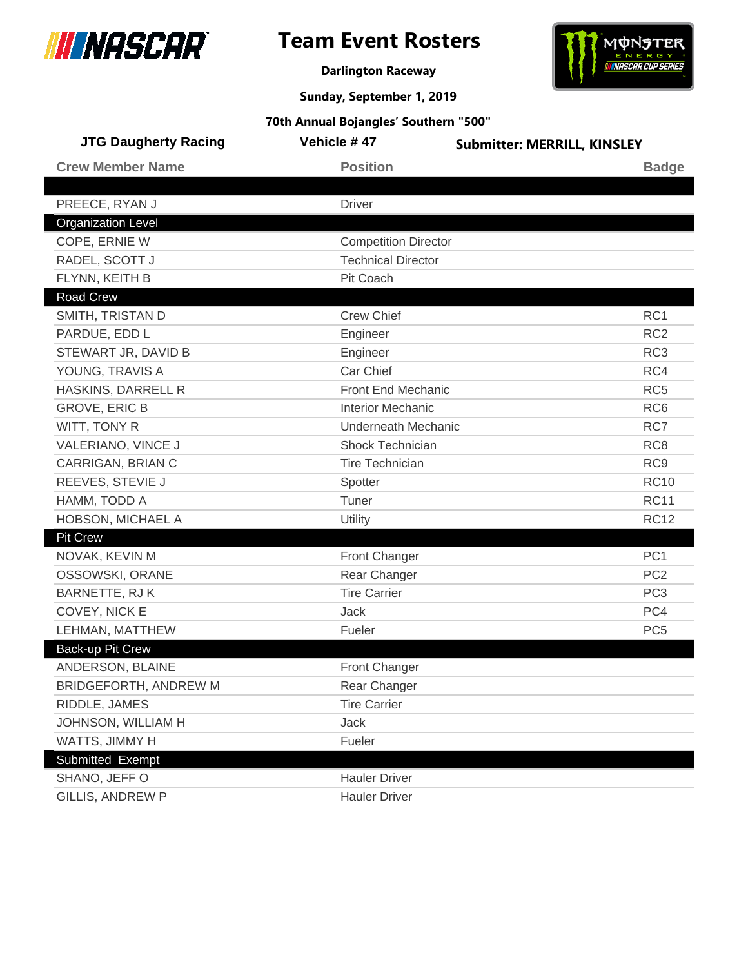



**Darlington Raceway**

**Sunday, September 1, 2019**

| <b>JTG Daugherty Racing</b> | Vehicle #47                 | <b>Submitter: MERRILL, KINSLEY</b> |
|-----------------------------|-----------------------------|------------------------------------|
| <b>Crew Member Name</b>     | <b>Position</b>             | <b>Badge</b>                       |
|                             |                             |                                    |
| PREECE, RYAN J              | <b>Driver</b>               |                                    |
| <b>Organization Level</b>   |                             |                                    |
| COPE, ERNIE W               | <b>Competition Director</b> |                                    |
| RADEL, SCOTT J              | <b>Technical Director</b>   |                                    |
| FLYNN, KEITH B              | Pit Coach                   |                                    |
| <b>Road Crew</b>            |                             |                                    |
| SMITH, TRISTAN D            | <b>Crew Chief</b>           | RC1                                |
| PARDUE, EDD L               | Engineer                    | RC <sub>2</sub>                    |
| STEWART JR, DAVID B         | Engineer                    | RC <sub>3</sub>                    |
| YOUNG, TRAVIS A             | Car Chief                   | RC4                                |
| HASKINS, DARRELL R          | Front End Mechanic          | RC <sub>5</sub>                    |
| <b>GROVE, ERIC B</b>        | <b>Interior Mechanic</b>    | RC <sub>6</sub>                    |
| WITT, TONY R                | <b>Underneath Mechanic</b>  | RC7                                |
| VALERIANO, VINCE J          | <b>Shock Technician</b>     | RC <sub>8</sub>                    |
| CARRIGAN, BRIAN C           | <b>Tire Technician</b>      | RC <sub>9</sub>                    |
| REEVES, STEVIE J            | Spotter                     | <b>RC10</b>                        |
| HAMM, TODD A                | Tuner                       | <b>RC11</b>                        |
| HOBSON, MICHAEL A           | <b>Utility</b>              | <b>RC12</b>                        |
| <b>Pit Crew</b>             |                             |                                    |
| NOVAK, KEVIN M              | <b>Front Changer</b>        | PC <sub>1</sub>                    |
| OSSOWSKI, ORANE             | Rear Changer                | PC <sub>2</sub>                    |
| BARNETTE, RJ K              | <b>Tire Carrier</b>         | PC <sub>3</sub>                    |
| COVEY, NICK E               | Jack                        | PC4                                |
| LEHMAN, MATTHEW             | Fueler                      | PC <sub>5</sub>                    |
| <b>Back-up Pit Crew</b>     |                             |                                    |
| ANDERSON, BLAINE            | <b>Front Changer</b>        |                                    |
| BRIDGEFORTH, ANDREW M       | Rear Changer                |                                    |
| RIDDLE, JAMES               | <b>Tire Carrier</b>         |                                    |
| JOHNSON, WILLIAM H          | Jack                        |                                    |
| WATTS, JIMMY H              | Fueler                      |                                    |
| Submitted Exempt            |                             |                                    |
| SHANO, JEFF O               | <b>Hauler Driver</b>        |                                    |
| <b>GILLIS, ANDREW P</b>     | <b>Hauler Driver</b>        |                                    |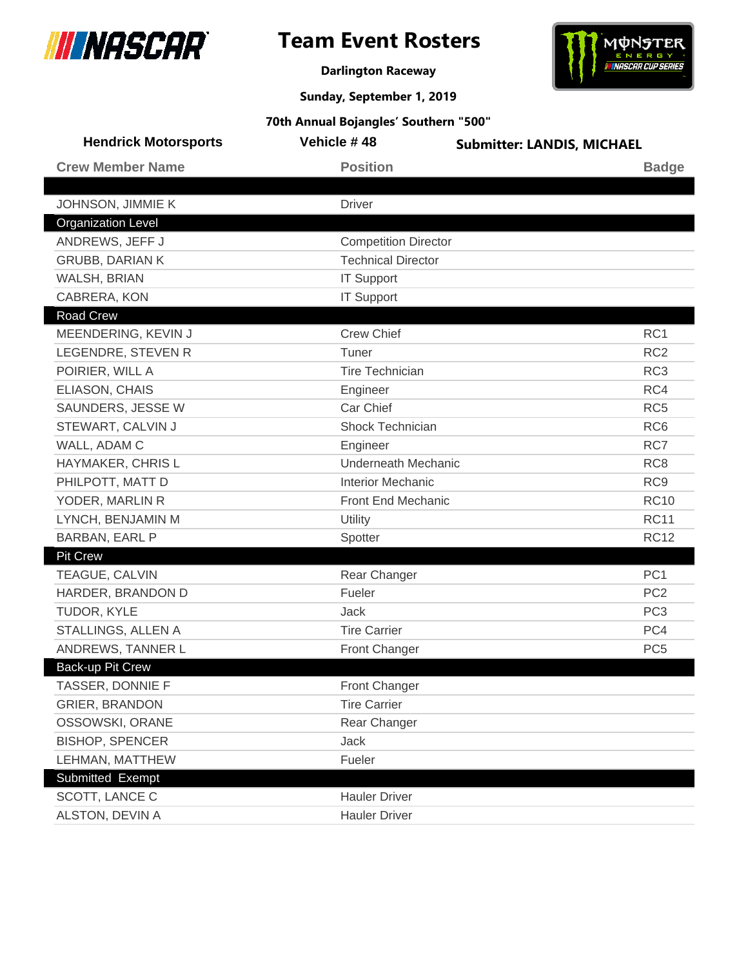



**Darlington Raceway**

**Sunday, September 1, 2019**

| <b>Hendrick Motorsports</b> | Vehicle #48                 | <b>Submitter: LANDIS, MICHAEL</b> |  |
|-----------------------------|-----------------------------|-----------------------------------|--|
| <b>Crew Member Name</b>     | <b>Position</b>             | <b>Badge</b>                      |  |
|                             |                             |                                   |  |
| JOHNSON, JIMMIE K           | <b>Driver</b>               |                                   |  |
| <b>Organization Level</b>   |                             |                                   |  |
| ANDREWS, JEFF J             | <b>Competition Director</b> |                                   |  |
| <b>GRUBB, DARIAN K</b>      | <b>Technical Director</b>   |                                   |  |
| WALSH, BRIAN                | <b>IT Support</b>           |                                   |  |
| CABRERA, KON                | <b>IT Support</b>           |                                   |  |
| <b>Road Crew</b>            |                             |                                   |  |
| MEENDERING, KEVIN J         | <b>Crew Chief</b>           | RC1                               |  |
| LEGENDRE, STEVEN R          | Tuner                       | RC <sub>2</sub>                   |  |
| POIRIER, WILL A             | <b>Tire Technician</b>      | RC <sub>3</sub>                   |  |
| ELIASON, CHAIS              | Engineer                    | RC4                               |  |
| SAUNDERS, JESSE W           | Car Chief                   | RC <sub>5</sub>                   |  |
| STEWART, CALVIN J           | Shock Technician            | RC <sub>6</sub>                   |  |
| WALL, ADAM C                | Engineer                    | RC7                               |  |
| HAYMAKER, CHRIS L           | <b>Underneath Mechanic</b>  | RC <sub>8</sub>                   |  |
| PHILPOTT, MATT D            | <b>Interior Mechanic</b>    | RC <sub>9</sub>                   |  |
| YODER, MARLIN R             | Front End Mechanic          | <b>RC10</b>                       |  |
| LYNCH, BENJAMIN M           | Utility                     | <b>RC11</b>                       |  |
| BARBAN, EARL P              | Spotter                     | <b>RC12</b>                       |  |
| <b>Pit Crew</b>             |                             |                                   |  |
| TEAGUE, CALVIN              | Rear Changer                | PC <sub>1</sub>                   |  |
| HARDER, BRANDON D           | Fueler                      | PC <sub>2</sub>                   |  |
| TUDOR, KYLE                 | Jack                        | PC <sub>3</sub>                   |  |
| STALLINGS, ALLEN A          | <b>Tire Carrier</b>         | PC4                               |  |
| ANDREWS, TANNER L           | Front Changer               | PC <sub>5</sub>                   |  |
| Back-up Pit Crew            |                             |                                   |  |
| TASSER, DONNIE F            | Front Changer               |                                   |  |
| <b>GRIER, BRANDON</b>       | <b>Tire Carrier</b>         |                                   |  |
| OSSOWSKI, ORANE             | Rear Changer                |                                   |  |
| <b>BISHOP, SPENCER</b>      | Jack                        |                                   |  |
| LEHMAN, MATTHEW             | Fueler                      |                                   |  |
| Submitted Exempt            |                             |                                   |  |
| SCOTT, LANCE C              | <b>Hauler Driver</b>        |                                   |  |
| ALSTON, DEVIN A             | <b>Hauler Driver</b>        |                                   |  |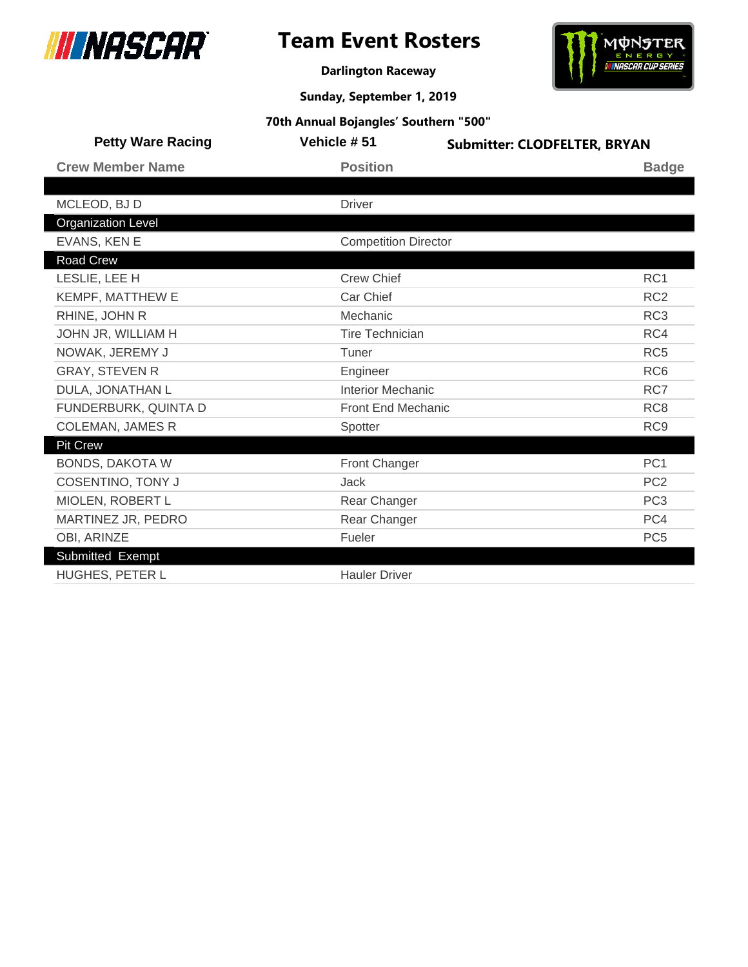



**Darlington Raceway**

**Sunday, September 1, 2019**

| <b>Petty Ware Racing</b>  | Vehicle #51                 | <b>Submitter: CLODFELTER, BRYAN</b> |
|---------------------------|-----------------------------|-------------------------------------|
| <b>Crew Member Name</b>   | <b>Position</b>             | <b>Badge</b>                        |
|                           |                             |                                     |
| MCLEOD, BJ D              | <b>Driver</b>               |                                     |
| <b>Organization Level</b> |                             |                                     |
| EVANS, KEN E              | <b>Competition Director</b> |                                     |
| Road Crew                 |                             |                                     |
| LESLIE, LEE H             | <b>Crew Chief</b>           | RC <sub>1</sub>                     |
| KEMPF, MATTHEW E          | Car Chief                   | RC <sub>2</sub>                     |
| RHINE, JOHN R             | Mechanic                    | RC <sub>3</sub>                     |
| JOHN JR, WILLIAM H        | <b>Tire Technician</b>      | RC4                                 |
| NOWAK, JEREMY J           | Tuner                       | RC <sub>5</sub>                     |
| <b>GRAY, STEVEN R</b>     | Engineer                    | RC <sub>6</sub>                     |
| DULA, JONATHAN L          | <b>Interior Mechanic</b>    | RC7                                 |
| FUNDERBURK, QUINTA D      | Front End Mechanic          | RC <sub>8</sub>                     |
| <b>COLEMAN, JAMES R</b>   | Spotter                     | RC <sub>9</sub>                     |
| <b>Pit Crew</b>           |                             |                                     |
| <b>BONDS, DAKOTA W</b>    | Front Changer               | PC <sub>1</sub>                     |
| <b>COSENTINO, TONY J</b>  | Jack                        | PC <sub>2</sub>                     |
| MIOLEN, ROBERT L          | Rear Changer                | PC <sub>3</sub>                     |
| MARTINEZ JR, PEDRO        | Rear Changer                | PC4                                 |
| OBI, ARINZE               | Fueler                      | PC <sub>5</sub>                     |
| Submitted Exempt          |                             |                                     |
| <b>HUGHES, PETER L</b>    | <b>Hauler Driver</b>        |                                     |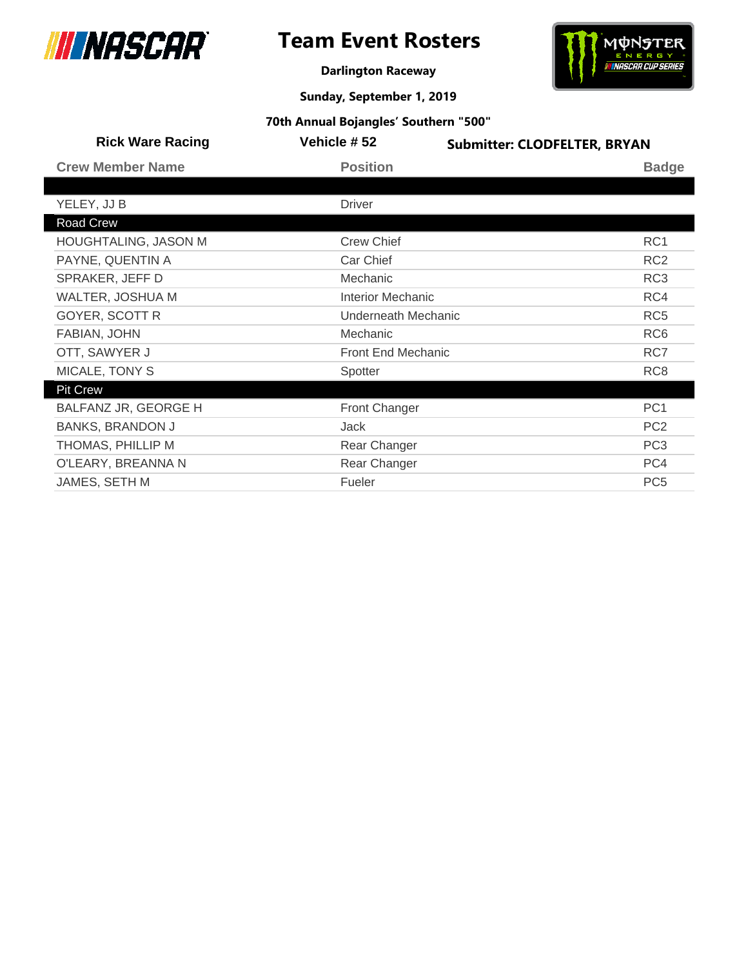



**Darlington Raceway**

**Sunday, September 1, 2019**

| <b>Rick Ware Racing</b> | Vehicle #52         | <b>Submitter: CLODFELTER, BRYAN</b> |
|-------------------------|---------------------|-------------------------------------|
| <b>Crew Member Name</b> | <b>Position</b>     | <b>Badge</b>                        |
|                         |                     |                                     |
| YELEY, JJ B             | <b>Driver</b>       |                                     |
| Road Crew               |                     |                                     |
| HOUGHTALING, JASON M    | <b>Crew Chief</b>   | RC <sub>1</sub>                     |
| PAYNE, QUENTIN A        | Car Chief           | RC <sub>2</sub>                     |
| SPRAKER, JEFF D         | Mechanic            | RC <sub>3</sub>                     |
| WALTER, JOSHUA M        | Interior Mechanic   | RC4                                 |
| <b>GOYER, SCOTT R</b>   | Underneath Mechanic | RC <sub>5</sub>                     |
| FABIAN, JOHN            | Mechanic            | RC <sub>6</sub>                     |
| OTT, SAWYER J           | Front End Mechanic  | RC7                                 |
| MICALE, TONY S          | Spotter             | RC <sub>8</sub>                     |
| <b>Pit Crew</b>         |                     |                                     |
| BALFANZ JR, GEORGE H    | Front Changer       | PC <sub>1</sub>                     |
| <b>BANKS, BRANDON J</b> | Jack                | PC <sub>2</sub>                     |
| THOMAS, PHILLIP M       | Rear Changer        | PC <sub>3</sub>                     |
| O'LEARY, BREANNA N      | Rear Changer        | PC4                                 |
| JAMES, SETH M           | Fueler              | PC <sub>5</sub>                     |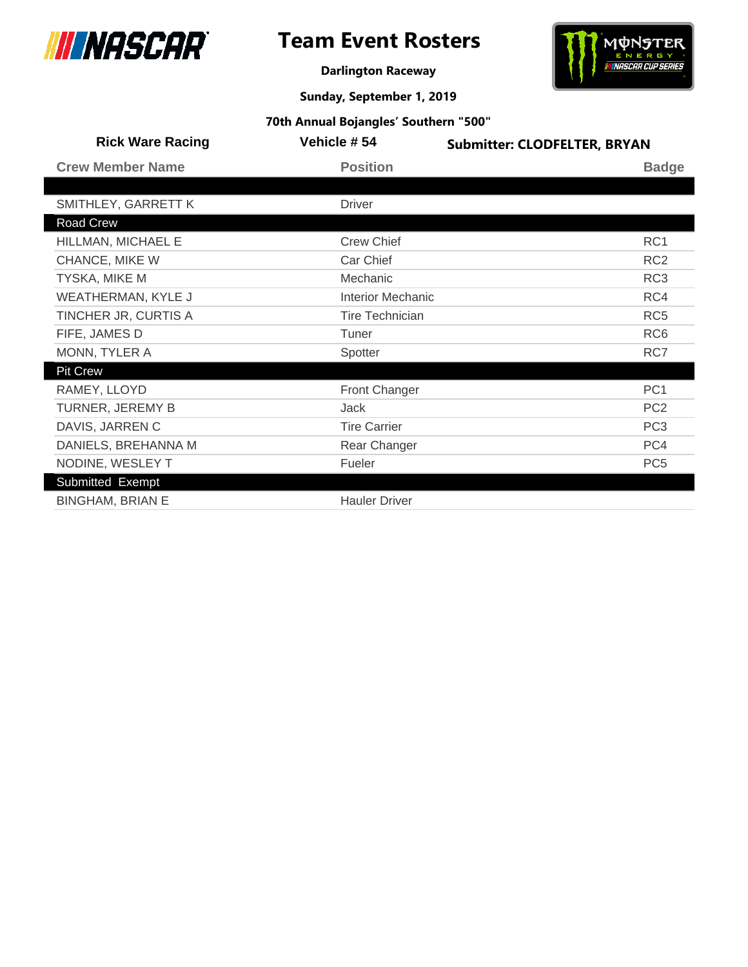

# **Team Event Rosters**



**Darlington Raceway**

**Sunday, September 1, 2019**

| <b>Rick Ware Racing</b> | Vehicle #54              | <b>Submitter: CLODFELTER, BRYAN</b> |
|-------------------------|--------------------------|-------------------------------------|
| <b>Crew Member Name</b> | <b>Position</b>          | <b>Badge</b>                        |
|                         |                          |                                     |
| SMITHLEY, GARRETT K     | <b>Driver</b>            |                                     |
| Road Crew               |                          |                                     |
| HILLMAN, MICHAEL E      | <b>Crew Chief</b>        | RC <sub>1</sub>                     |
| CHANCE, MIKE W          | Car Chief                | RC <sub>2</sub>                     |
| TYSKA, MIKE M           | Mechanic                 | RC <sub>3</sub>                     |
| WEATHERMAN, KYLE J      | <b>Interior Mechanic</b> | RC4                                 |
| TINCHER JR, CURTIS A    | <b>Tire Technician</b>   | RC <sub>5</sub>                     |
| FIFE, JAMES D           | Tuner                    | RC <sub>6</sub>                     |
| MONN, TYLER A           | Spotter                  | RC7                                 |
| <b>Pit Crew</b>         |                          |                                     |
| RAMEY, LLOYD            | Front Changer            | PC <sub>1</sub>                     |
| TURNER, JEREMY B        | Jack                     | PC <sub>2</sub>                     |
| DAVIS, JARREN C         | <b>Tire Carrier</b>      | PC <sub>3</sub>                     |
| DANIELS, BREHANNA M     | Rear Changer             | PC4                                 |
| NODINE, WESLEY T        | Fueler                   | PC <sub>5</sub>                     |
| Submitted Exempt        |                          |                                     |
| <b>BINGHAM, BRIAN E</b> | <b>Hauler Driver</b>     |                                     |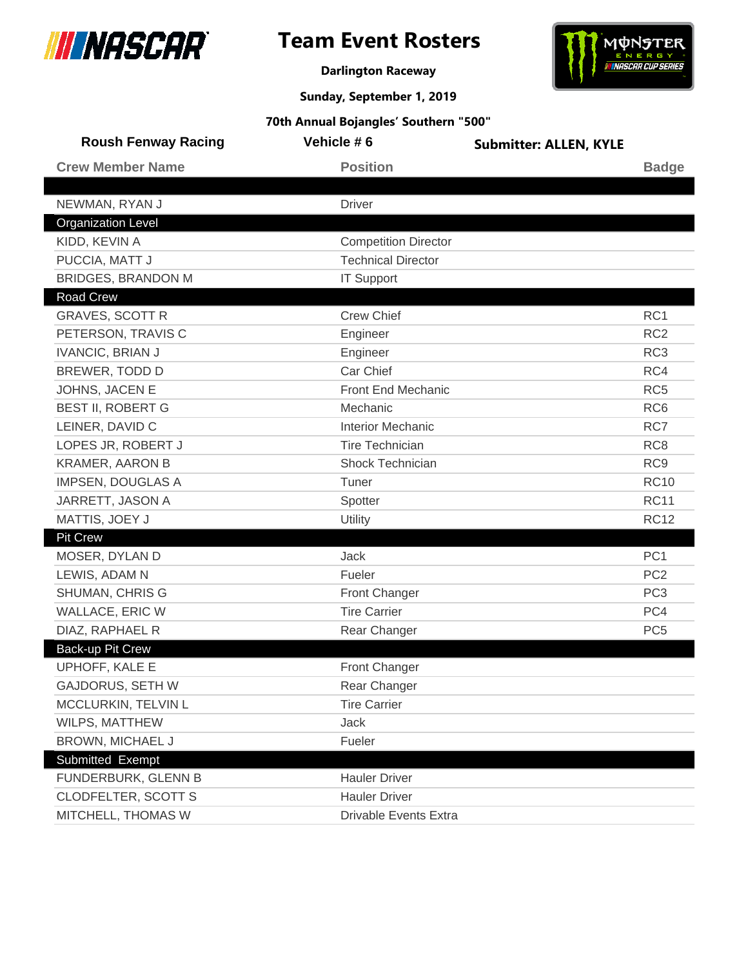

# **Team Event Rosters**



**Darlington Raceway**

**Sunday, September 1, 2019**

| <b>Roush Fenway Racing</b> | Vehicle #6                  | <b>Submitter: ALLEN, KYLE</b> |                 |
|----------------------------|-----------------------------|-------------------------------|-----------------|
| <b>Crew Member Name</b>    | <b>Position</b>             |                               | <b>Badge</b>    |
|                            |                             |                               |                 |
| NEWMAN, RYAN J             | <b>Driver</b>               |                               |                 |
| <b>Organization Level</b>  |                             |                               |                 |
| KIDD, KEVIN A              | <b>Competition Director</b> |                               |                 |
| PUCCIA, MATT J             | <b>Technical Director</b>   |                               |                 |
| <b>BRIDGES, BRANDON M</b>  | <b>IT Support</b>           |                               |                 |
| <b>Road Crew</b>           |                             |                               |                 |
| <b>GRAVES, SCOTT R</b>     | <b>Crew Chief</b>           |                               | RC <sub>1</sub> |
| PETERSON, TRAVIS C         | Engineer                    |                               | RC <sub>2</sub> |
| <b>IVANCIC, BRIAN J</b>    | Engineer                    |                               | RC <sub>3</sub> |
| BREWER, TODD D             | Car Chief                   |                               | RC4             |
| JOHNS, JACEN E             | <b>Front End Mechanic</b>   |                               | RC <sub>5</sub> |
| <b>BEST II, ROBERT G</b>   | Mechanic                    |                               | RC <sub>6</sub> |
| LEINER, DAVID C            | <b>Interior Mechanic</b>    |                               | RC7             |
| LOPES JR, ROBERT J         | <b>Tire Technician</b>      |                               | RC <sub>8</sub> |
| <b>KRAMER, AARON B</b>     | <b>Shock Technician</b>     |                               | RC <sub>9</sub> |
| <b>IMPSEN, DOUGLAS A</b>   | Tuner                       |                               | <b>RC10</b>     |
| JARRETT, JASON A           | Spotter                     |                               | <b>RC11</b>     |
| MATTIS, JOEY J             | Utility                     |                               | <b>RC12</b>     |
| <b>Pit Crew</b>            |                             |                               |                 |
| MOSER, DYLAN D             | <b>Jack</b>                 |                               | PC <sub>1</sub> |
| LEWIS, ADAM N              | Fueler                      |                               | PC <sub>2</sub> |
| SHUMAN, CHRIS G            | <b>Front Changer</b>        |                               | PC <sub>3</sub> |
| WALLACE, ERIC W            | <b>Tire Carrier</b>         |                               | PC4             |
| DIAZ, RAPHAEL R            | Rear Changer                |                               | PC <sub>5</sub> |
| Back-up Pit Crew           |                             |                               |                 |
| UPHOFF, KALE E             | Front Changer               |                               |                 |
| GAJDORUS, SETH W           | Rear Changer                |                               |                 |
| MCCLURKIN, TELVIN L        | <b>Tire Carrier</b>         |                               |                 |
| WILPS, MATTHEW             | Jack                        |                               |                 |
| <b>BROWN, MICHAEL J</b>    | Fueler                      |                               |                 |
| Submitted Exempt           |                             |                               |                 |
| FUNDERBURK, GLENN B        | <b>Hauler Driver</b>        |                               |                 |
| <b>CLODFELTER, SCOTT S</b> | <b>Hauler Driver</b>        |                               |                 |
| MITCHELL, THOMAS W         | Drivable Events Extra       |                               |                 |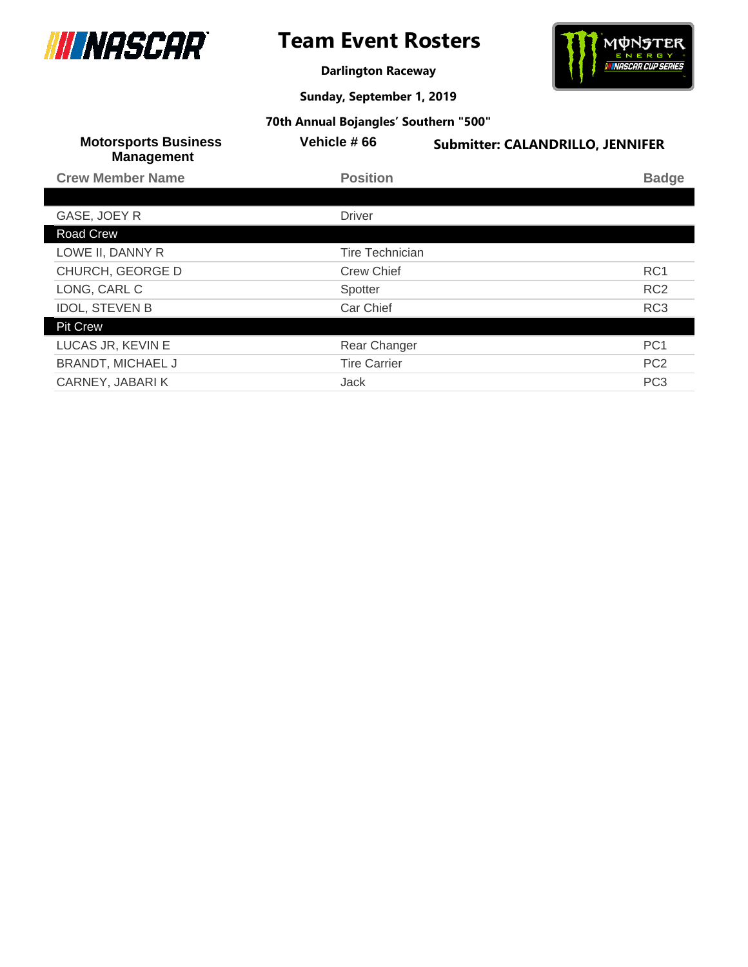



**Darlington Raceway**

**Sunday, September 1, 2019**

| <b>Motorsports Business</b><br><b>Management</b> | Vehicle #66            | <b>Submitter: CALANDRILLO, JENNIFER</b> |
|--------------------------------------------------|------------------------|-----------------------------------------|
| <b>Crew Member Name</b>                          | <b>Position</b>        | <b>Badge</b>                            |
|                                                  |                        |                                         |
| GASE, JOEY R                                     | <b>Driver</b>          |                                         |
| Road Crew                                        |                        |                                         |
| LOWE II, DANNY R                                 | <b>Tire Technician</b> |                                         |
| CHURCH, GEORGE D                                 | <b>Crew Chief</b>      | RC <sub>1</sub>                         |
| LONG, CARL C                                     | Spotter                | RC <sub>2</sub>                         |
| <b>IDOL, STEVEN B</b>                            | Car Chief              | RC <sub>3</sub>                         |
| <b>Pit Crew</b>                                  |                        |                                         |
| LUCAS JR, KEVIN E                                | Rear Changer           | PC <sub>1</sub>                         |
| <b>BRANDT, MICHAEL J</b>                         | <b>Tire Carrier</b>    | PC <sub>2</sub>                         |
| CARNEY, JABARIK                                  | <b>Jack</b>            | PC <sub>3</sub>                         |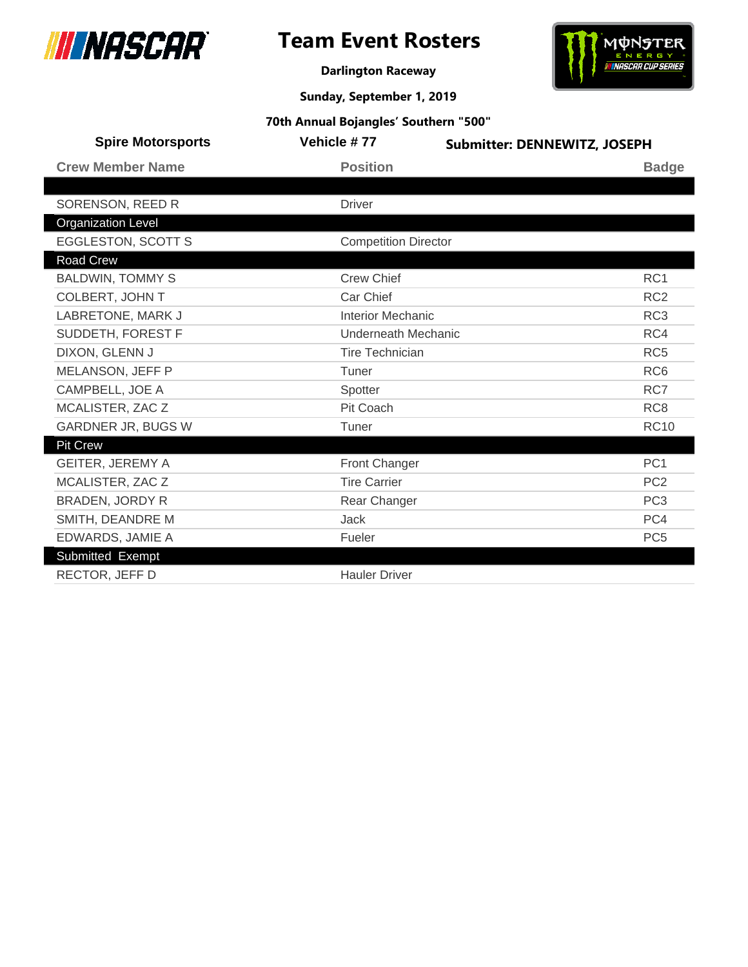



**Darlington Raceway**

**Sunday, September 1, 2019**

| <b>Spire Motorsports</b>  | Vehicle #77                 | <b>Submitter: DENNEWITZ, JOSEPH</b> |
|---------------------------|-----------------------------|-------------------------------------|
| <b>Crew Member Name</b>   | <b>Position</b>             | <b>Badge</b>                        |
|                           |                             |                                     |
| SORENSON, REED R          | <b>Driver</b>               |                                     |
| <b>Organization Level</b> |                             |                                     |
| <b>EGGLESTON, SCOTT S</b> | <b>Competition Director</b> |                                     |
| <b>Road Crew</b>          |                             |                                     |
| <b>BALDWIN, TOMMY S</b>   | <b>Crew Chief</b>           | RC <sub>1</sub>                     |
| COLBERT, JOHN T           | Car Chief                   | RC <sub>2</sub>                     |
| LABRETONE, MARK J         | <b>Interior Mechanic</b>    | RC <sub>3</sub>                     |
| SUDDETH, FOREST F         | <b>Underneath Mechanic</b>  | RC4                                 |
| DIXON, GLENN J            | <b>Tire Technician</b>      | RC <sub>5</sub>                     |
| MELANSON, JEFF P          | Tuner                       | RC <sub>6</sub>                     |
| CAMPBELL, JOE A           | Spotter                     | RC7                                 |
| MCALISTER, ZAC Z          | Pit Coach                   | RC <sub>8</sub>                     |
| <b>GARDNER JR, BUGS W</b> | Tuner                       | <b>RC10</b>                         |
| <b>Pit Crew</b>           |                             |                                     |
| <b>GEITER, JEREMY A</b>   | Front Changer               | PC <sub>1</sub>                     |
| MCALISTER, ZAC Z          | <b>Tire Carrier</b>         | PC <sub>2</sub>                     |
| <b>BRADEN, JORDY R</b>    | Rear Changer                | PC <sub>3</sub>                     |
| SMITH, DEANDRE M          | <b>Jack</b>                 | PC4                                 |
| EDWARDS, JAMIE A          | Fueler                      | PC <sub>5</sub>                     |
| Submitted Exempt          |                             |                                     |
| RECTOR, JEFF D            | <b>Hauler Driver</b>        |                                     |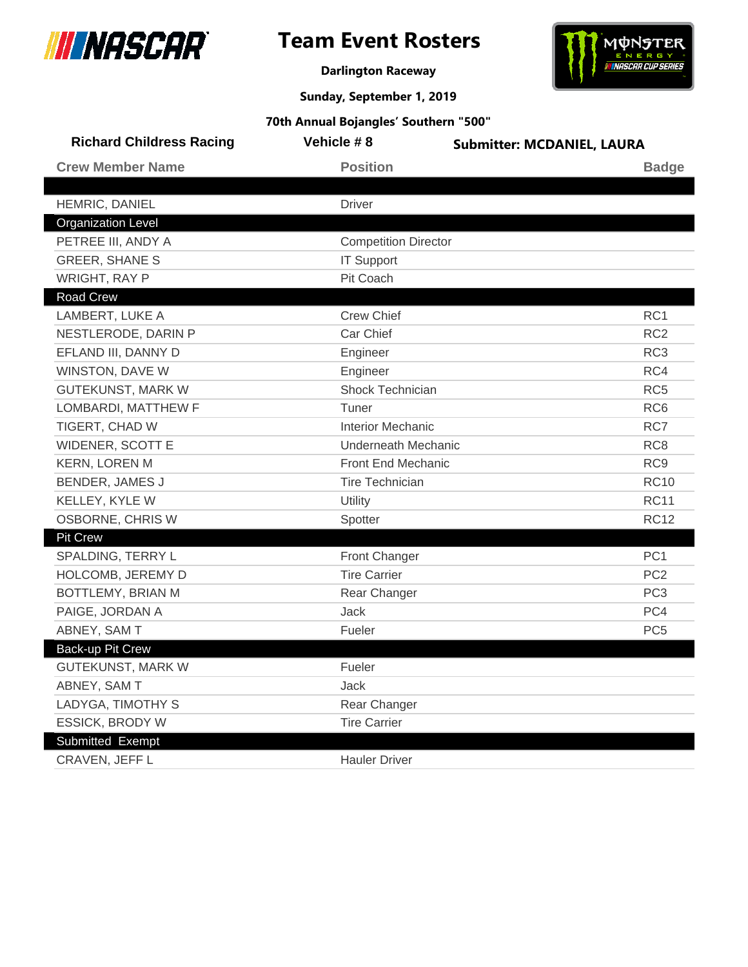

# **Team Event Rosters**



**Darlington Raceway**

**Sunday, September 1, 2019**

| <b>Richard Childress Racing</b> | Vehicle #8                  | <b>Submitter: MCDANIEL, LAURA</b> |
|---------------------------------|-----------------------------|-----------------------------------|
| <b>Crew Member Name</b>         | <b>Position</b>             | <b>Badge</b>                      |
|                                 |                             |                                   |
| HEMRIC, DANIEL                  | <b>Driver</b>               |                                   |
| <b>Organization Level</b>       |                             |                                   |
| PETREE III, ANDY A              | <b>Competition Director</b> |                                   |
| <b>GREER, SHANE S</b>           | <b>IT Support</b>           |                                   |
| WRIGHT, RAY P                   | Pit Coach                   |                                   |
| <b>Road Crew</b>                |                             |                                   |
| LAMBERT, LUKE A                 | <b>Crew Chief</b>           | RC <sub>1</sub>                   |
| NESTLERODE, DARIN P             | Car Chief                   | RC <sub>2</sub>                   |
| EFLAND III, DANNY D             | Engineer                    | RC <sub>3</sub>                   |
| WINSTON, DAVE W                 | Engineer                    | RC4                               |
| <b>GUTEKUNST, MARK W</b>        | Shock Technician            | RC <sub>5</sub>                   |
| LOMBARDI, MATTHEW F             | Tuner                       | RC <sub>6</sub>                   |
| TIGERT, CHAD W                  | <b>Interior Mechanic</b>    | RC7                               |
| WIDENER, SCOTT E                | Underneath Mechanic         | RC <sub>8</sub>                   |
| <b>KERN, LOREN M</b>            | Front End Mechanic          | RC <sub>9</sub>                   |
| BENDER, JAMES J                 | <b>Tire Technician</b>      | <b>RC10</b>                       |
| KELLEY, KYLE W                  | Utility                     | <b>RC11</b>                       |
| OSBORNE, CHRIS W                | Spotter                     | <b>RC12</b>                       |
| <b>Pit Crew</b>                 |                             |                                   |
| SPALDING, TERRY L               | Front Changer               | PC <sub>1</sub>                   |
| HOLCOMB, JEREMY D               | <b>Tire Carrier</b>         | PC <sub>2</sub>                   |
| BOTTLEMY, BRIAN M               | Rear Changer                | PC <sub>3</sub>                   |
| PAIGE, JORDAN A                 | Jack                        | PC4                               |
| ABNEY, SAM T                    | Fueler                      | PC <sub>5</sub>                   |
| Back-up Pit Crew                |                             |                                   |
| <b>GUTEKUNST, MARK W</b>        | Fueler                      |                                   |
| ABNEY, SAM T                    | Jack                        |                                   |
| LADYGA, TIMOTHY S               | Rear Changer                |                                   |
| <b>ESSICK, BRODY W</b>          | <b>Tire Carrier</b>         |                                   |
| Submitted Exempt                |                             |                                   |
| CRAVEN, JEFF L                  | <b>Hauler Driver</b>        |                                   |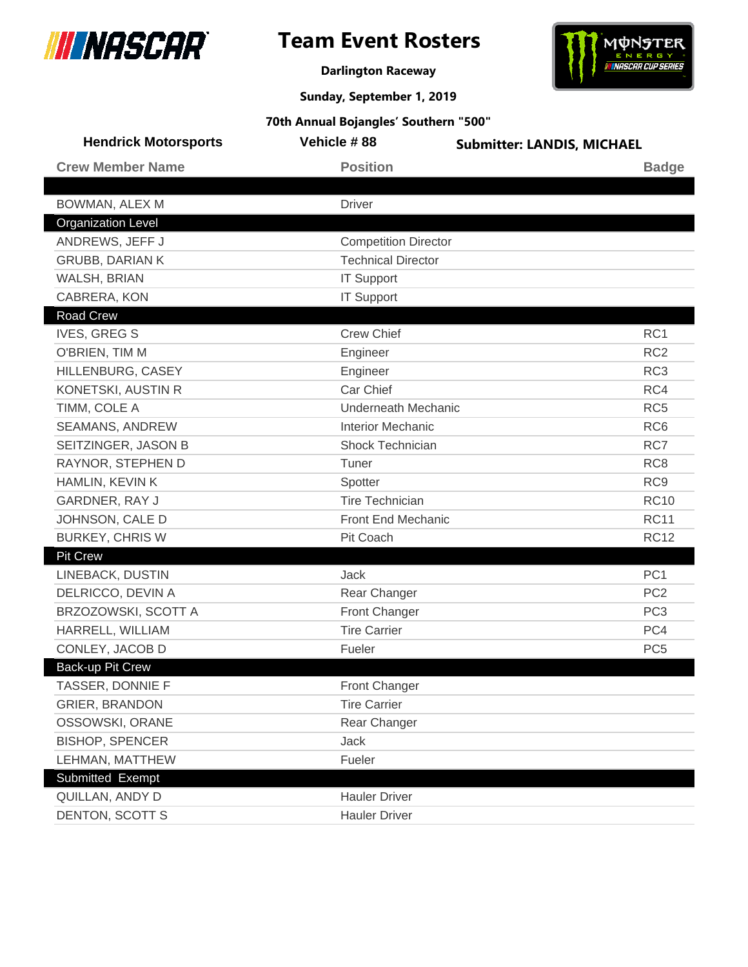



**Darlington Raceway**

**Sunday, September 1, 2019**

| <b>Hendrick Motorsports</b> | Vehicle #88                 | <b>Submitter: LANDIS, MICHAEL</b> |  |
|-----------------------------|-----------------------------|-----------------------------------|--|
| <b>Crew Member Name</b>     | <b>Position</b>             | <b>Badge</b>                      |  |
|                             |                             |                                   |  |
| BOWMAN, ALEX M              | <b>Driver</b>               |                                   |  |
| <b>Organization Level</b>   |                             |                                   |  |
| ANDREWS, JEFF J             | <b>Competition Director</b> |                                   |  |
| <b>GRUBB, DARIAN K</b>      | <b>Technical Director</b>   |                                   |  |
| WALSH, BRIAN                | <b>IT Support</b>           |                                   |  |
| CABRERA, KON                | <b>IT Support</b>           |                                   |  |
| <b>Road Crew</b>            |                             |                                   |  |
| <b>IVES, GREG S</b>         | <b>Crew Chief</b>           | RC1                               |  |
| O'BRIEN, TIM M              | Engineer                    | RC <sub>2</sub>                   |  |
| HILLENBURG, CASEY           | Engineer                    | RC <sub>3</sub>                   |  |
| KONETSKI, AUSTIN R          | Car Chief                   | RC4                               |  |
| TIMM, COLE A                | Underneath Mechanic         | RC <sub>5</sub>                   |  |
| SEAMANS, ANDREW             | <b>Interior Mechanic</b>    | RC <sub>6</sub>                   |  |
| SEITZINGER, JASON B         | Shock Technician            | RC7                               |  |
| RAYNOR, STEPHEN D           | Tuner                       | RC <sub>8</sub>                   |  |
| HAMLIN, KEVIN K             | Spotter                     | RC <sub>9</sub>                   |  |
| GARDNER, RAY J              | <b>Tire Technician</b>      | <b>RC10</b>                       |  |
| JOHNSON, CALE D             | Front End Mechanic          | <b>RC11</b>                       |  |
| <b>BURKEY, CHRIS W</b>      | Pit Coach                   | <b>RC12</b>                       |  |
| <b>Pit Crew</b>             |                             |                                   |  |
| LINEBACK, DUSTIN            | <b>Jack</b>                 | PC <sub>1</sub>                   |  |
| DELRICCO, DEVIN A           | Rear Changer                | PC <sub>2</sub>                   |  |
| BRZOZOWSKI, SCOTT A         | Front Changer               | PC <sub>3</sub>                   |  |
| HARRELL, WILLIAM            | <b>Tire Carrier</b>         | PC4                               |  |
| CONLEY, JACOB D             | Fueler                      | PC <sub>5</sub>                   |  |
| Back-up Pit Crew            |                             |                                   |  |
| TASSER, DONNIE F            | Front Changer               |                                   |  |
| <b>GRIER, BRANDON</b>       | <b>Tire Carrier</b>         |                                   |  |
| OSSOWSKI, ORANE             | Rear Changer                |                                   |  |
| <b>BISHOP, SPENCER</b>      | Jack                        |                                   |  |
| LEHMAN, MATTHEW             | Fueler                      |                                   |  |
| Submitted Exempt            |                             |                                   |  |
| QUILLAN, ANDY D             | <b>Hauler Driver</b>        |                                   |  |
| DENTON, SCOTT S             | <b>Hauler Driver</b>        |                                   |  |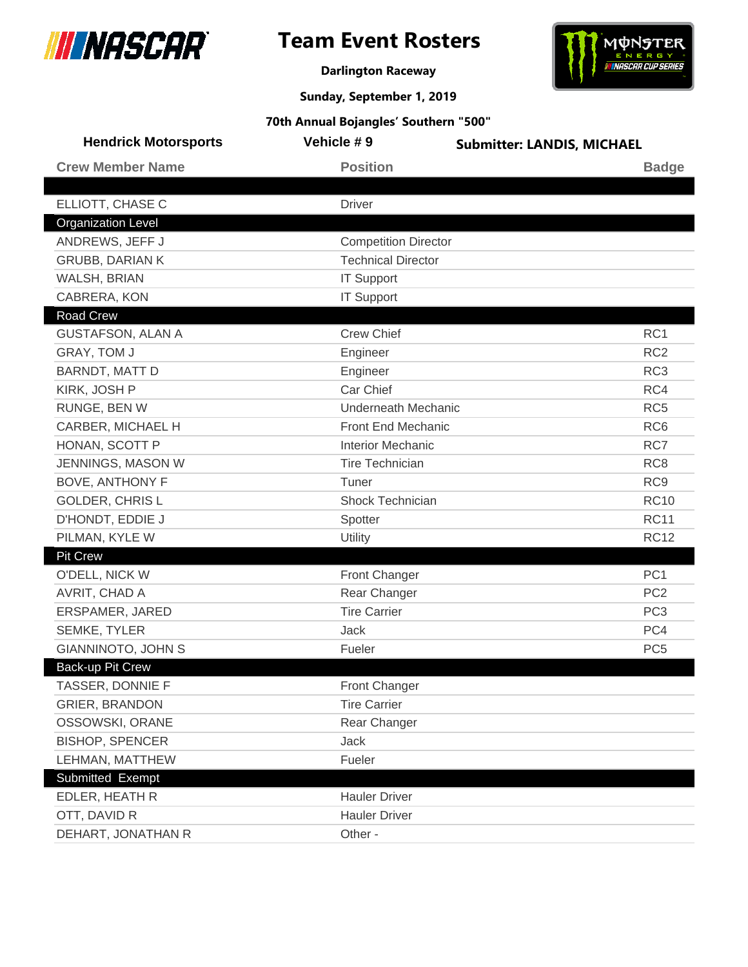



**Darlington Raceway**

**Sunday, September 1, 2019**

| <b>Hendrick Motorsports</b> | Vehicle #9                  | <b>Submitter: LANDIS, MICHAEL</b> |
|-----------------------------|-----------------------------|-----------------------------------|
| <b>Crew Member Name</b>     | <b>Position</b>             | <b>Badge</b>                      |
|                             |                             |                                   |
| ELLIOTT, CHASE C            | <b>Driver</b>               |                                   |
| <b>Organization Level</b>   |                             |                                   |
| ANDREWS, JEFF J             | <b>Competition Director</b> |                                   |
| <b>GRUBB, DARIAN K</b>      | <b>Technical Director</b>   |                                   |
| WALSH, BRIAN                | <b>IT Support</b>           |                                   |
| CABRERA, KON                | <b>IT Support</b>           |                                   |
| Road Crew                   |                             |                                   |
| <b>GUSTAFSON, ALAN A</b>    | <b>Crew Chief</b>           | RC <sub>1</sub>                   |
| GRAY, TOM J                 | Engineer                    | RC <sub>2</sub>                   |
| <b>BARNDT, MATT D</b>       | Engineer                    | RC <sub>3</sub>                   |
| KIRK, JOSH P                | Car Chief                   | RC4                               |
| RUNGE, BEN W                | <b>Underneath Mechanic</b>  | RC <sub>5</sub>                   |
| CARBER, MICHAEL H           | Front End Mechanic          | RC <sub>6</sub>                   |
| HONAN, SCOTT P              | <b>Interior Mechanic</b>    | RC7                               |
| JENNINGS, MASON W           | <b>Tire Technician</b>      | RC <sub>8</sub>                   |
| <b>BOVE, ANTHONY F</b>      | Tuner                       | RC <sub>9</sub>                   |
| <b>GOLDER, CHRISL</b>       | <b>Shock Technician</b>     | <b>RC10</b>                       |
| D'HONDT, EDDIE J            | Spotter                     | <b>RC11</b>                       |
| PILMAN, KYLE W              | Utility                     | <b>RC12</b>                       |
| <b>Pit Crew</b>             |                             |                                   |
| O'DELL, NICK W              | <b>Front Changer</b>        | PC <sub>1</sub>                   |
| AVRIT, CHAD A               | Rear Changer                | PC <sub>2</sub>                   |
| ERSPAMER, JARED             | <b>Tire Carrier</b>         | PC <sub>3</sub>                   |
| SEMKE, TYLER                | Jack                        | PC4                               |
| <b>GIANNINOTO, JOHN S</b>   | Fueler                      | PC <sub>5</sub>                   |
| Back-up Pit Crew            |                             |                                   |
| TASSER, DONNIE F            | <b>Front Changer</b>        |                                   |
| <b>GRIER, BRANDON</b>       | <b>Tire Carrier</b>         |                                   |
| OSSOWSKI, ORANE             | Rear Changer                |                                   |
| <b>BISHOP, SPENCER</b>      | Jack                        |                                   |
| LEHMAN, MATTHEW             | Fueler                      |                                   |
| Submitted Exempt            |                             |                                   |
| EDLER, HEATH R              | <b>Hauler Driver</b>        |                                   |
| OTT, DAVID R                | <b>Hauler Driver</b>        |                                   |
| DEHART, JONATHAN R          | Other -                     |                                   |